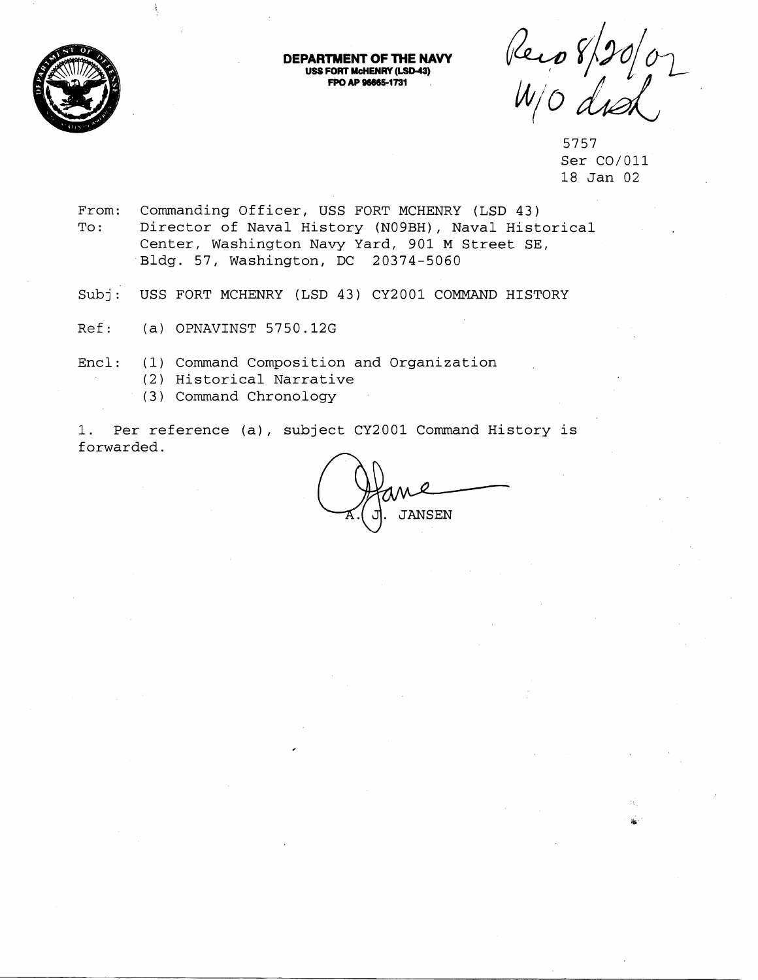

**DEPARTMENT OF THE NAVY**<br>
USS FORT MCHENRY (LSD-43) **FPO AP 96685-1731** 

Reco 8/20/07

5757 Ser C0/011 18 Jan 02

- From: Commanding Officer, USS FORT MCHENRY (LSD 43) To: Director of Naval History (N09BH), Naval Historical Center, Washington Navy Yard, 901 M Street SE, Bldg. 57, Washington, DC 20374-5060
- Subj: USS FORT MCHENRY (LSD 43) CY2001 COMMAND HISTORY
- Ref: (a) OPNAVINST 5750.12G
- Encl: (1) Command Composition and Organization
	- (2) Historical Narrative
	- (3) Command Chronology

1. Per reference (a), subject CY2001 Command History is forwarded.

**JANSEN**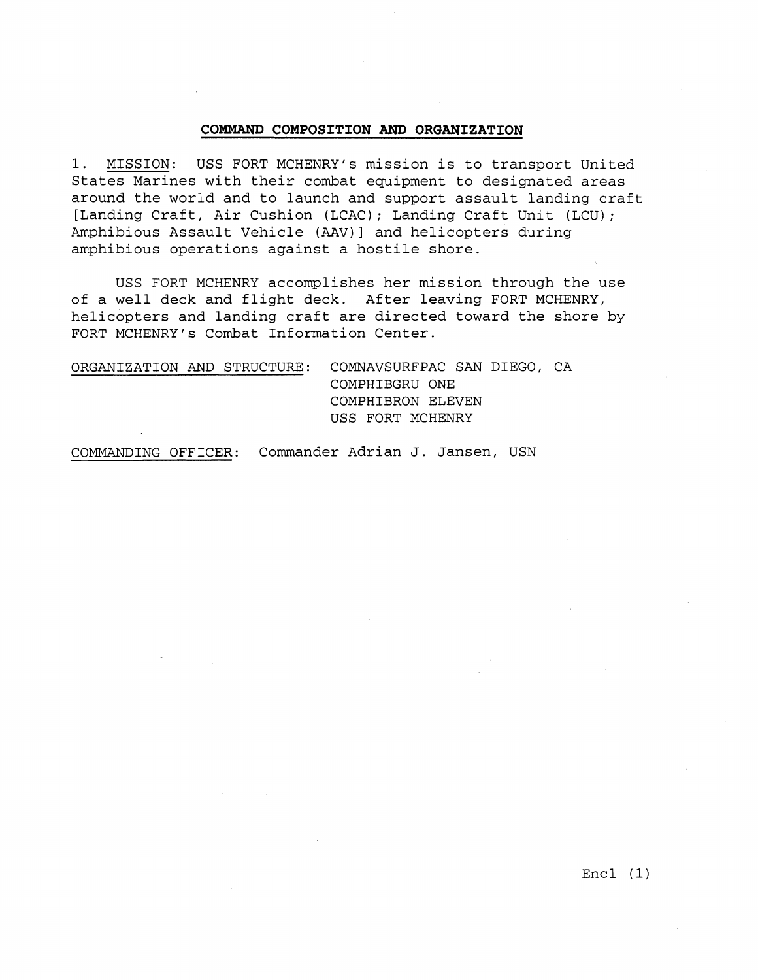## **COMMAND COMPOSITION AND ORGANIZATION**

1. MISSION: USS FORT MCHENRY's mission is to transport United States Marines with their combat equipment to designated areas around the world and to launch and support assault landing craft [Landing Craft, Air Cushion (LCAC); Landing Craft Unit (LCU); Amphibious Assault Vehicle (AAV)] and helicopters during amphibious operations against a hostile shore.

USS FORT MCHENRY accomplishes her mission through the use of a well deck and flight deck. After leaving FORT MCHENRY, helicopters and landing craft are directed toward the shore by FORT MCHENRY's Combat Information Center.

| ORGANIZATION AND STRUCTURE: COMNAVSURFPAC SAN DIEGO, CA |
|---------------------------------------------------------|
| COMPHIBGRU ONE                                          |
| COMPHIBRON ELEVEN                                       |
| USS FORT MCHENRY                                        |
|                                                         |

COMMANDING OFFICER: Commander Adrian J. Jansen, USN

 $Enc1 (1)$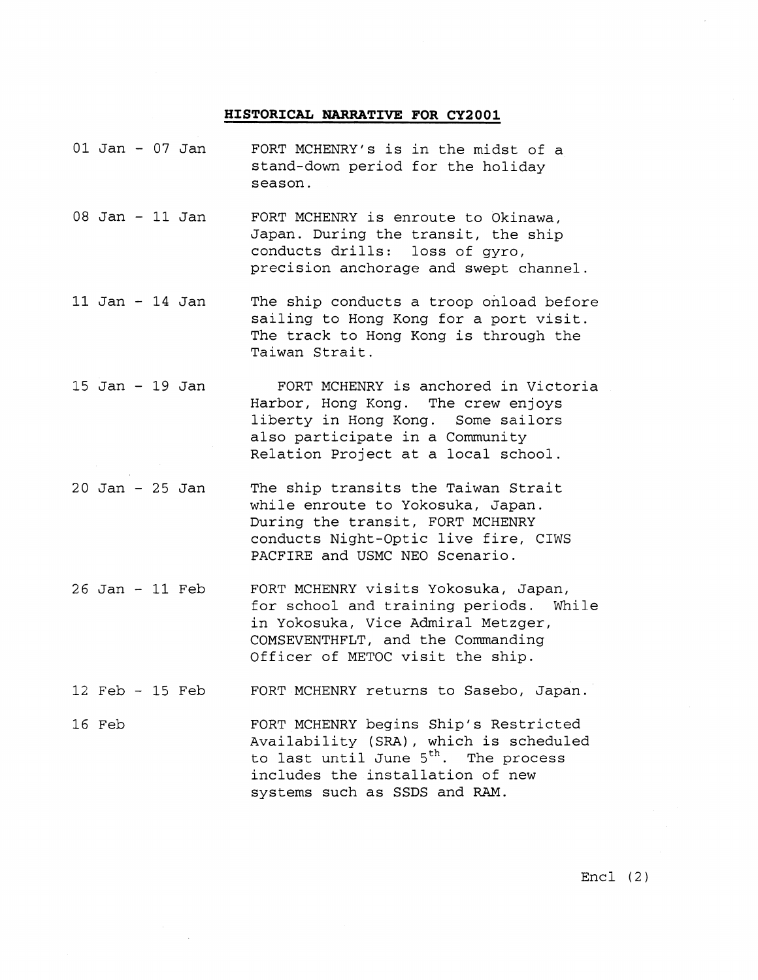## **HISTORICAL NARRATIVE FOR CY2001**

- 01 Jan 07 Jan FORT MCHENRY's is in the midst of a stand-down period for the holiday season.
- 08 Jan 11 Jan FORT MCHENRY is enroute to Okinawa, Japan. During the transit, the ship conducts drills: loss of gyro, precision anchorage and swept channel
- 11 Jan 14 Jan The ship conducts a troop onload before sailing to Hong Kong for a port visit. The track to Hong Kong is through the Taiwan Strait.
- 15 Jan 19 Jan FORT MCHENRY is anchored in Victoria Harbor, Hong Kong. The crew enjoys liberty in Hong Kong. Some sailors also participate in a Community Relation Project at a local school.
- 20 Jan 25 Jan The ship transits the Taiwan Strait while enroute to Yokosuka, Japan. During the transit, FORT MCHENRY conducts Night-Optic live fire, CIWS PACFIRE and USMC NEO Scenario.
- 26 Jan 11 Feb FORT MCHENRY visits Yokosuka, Japan, for school and training periods. While in Yokosuka, Vice Admiral Metzger, COMSEVENTHFLT, and the Commanding Officer of METOC visit the ship.
- 12 Feb 15 Feb FORT MCHENRY returns to Sasebo, Japan.
- 16 Feb FORT MCHENRY begins Ship's Restricted Availability (SRA), which is scheduled to last until June  $5<sup>th</sup>$ . The process includes the installation of new systems such as SSDS and RAM.

 $Enc1$  (2)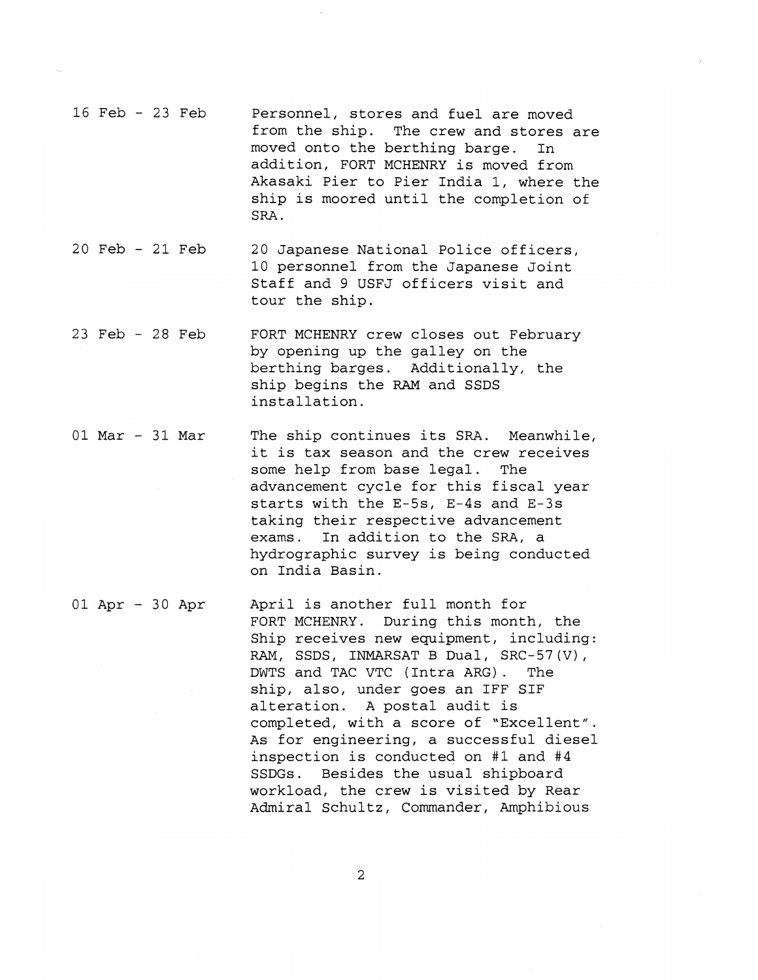- 16 Feb 23 Feb Personnel, stores and fuel are moved from the ship. The crew and stores are moved onto the berthing barge. In addition, FORT MCHENRY is moved from Akasaki Pier to Pier India 1, where the ship is moored until the completion of SRA.
- 20 Feb 21 Feb 20 Japanese National Police officers, 10 personnel from the Japanese Joint Staff and 9 USFJ officers visit and tour the ship.
- 23 Feb 28 Feb FORT MCHENRY crew closes out February by opening up the galley on the berthing barges. Additionally, the ship begins the RAM and SSDS installation.
- 01 Mar 31 Mar The ship continues its SRA. Meanwhile, it is tax season and the crew receives some help from base legal. The advancement cycle for this fiscal year starts with the E-5s, E-4s and E-3s taking their respective advancement exams. In addition to the SRA, a hydrographic survey is being conducted on India Basin.

01 Apr - 30 Apr April is another full month for FORT MCHENRY. During this month, the Ship receives new equipment, including: RAM, SSDS, INMARSAT B Dual, SRC-57(V), DWTS and TAC VTC ( Intra ARG) . The ship, also, under goes an IFF SIF alteration. A postal audit is completed, with a score of "Excellent". As for engineering, a successful diesel inspection is conducted on #1 and #4 SSDGs. Besides the usual shipboard workload, the crew is visited by Rear Admiral Schultz, Commander, Amphibious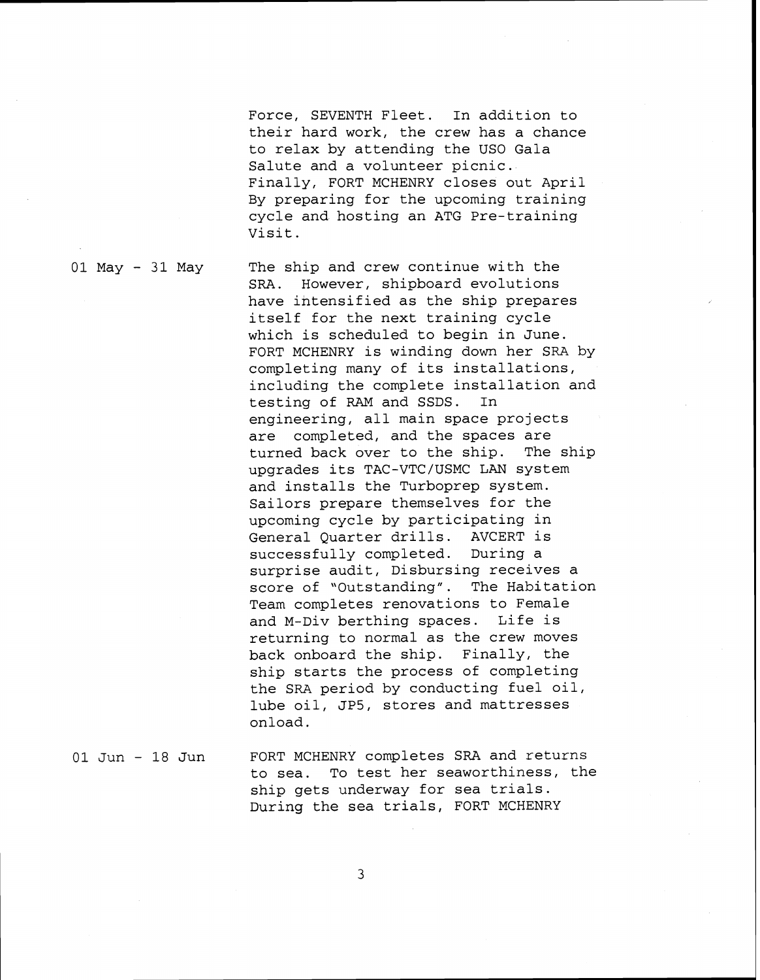Force, SEVENTH Fleet. In addition to their hard work, the crew has a chance to relax by attending the US0 Gala Salute and a volunteer picnic. Finally, FORT MCHENRY closes out April By preparing for the upcoming training cycle and hosting an ATG Pre-training Visit.

01 May - 31 May The ship and crew continue with the SRA. However, shipboard evolutions have ihtensified as the ship prepares itself for the next training cycle which is scheduled to begin in June. FORT MCHENRY is winding down her SRA by completing many of its installations, including the complete installation and testing of RAM and SSDS. In engineering, all main space projects are completed, and the spaces are turned back over to the ship. The ship upgrades its TAC-VTC/USMC LAN system and installs the Turboprep system. Sailors prepare themselves for the upcoming cycle by participating in General Quarter drills. AVCERT is successfully completed. During a surprise audit, Disbursing receives a score of "Outstanding". The Habitation Team completes renovations to Female and M-Div berthing spaces. Life is returning to normal as the crew moves back onboard the ship. Finally, the ship starts the process of completing the SRA period by conducting fuel oil, lube oil, JP5, stores and mattresses onload.

01 Jun - 18 Jun FORT MCHENRY completes SRA and returns to sea. To test her seaworthiness, the ship gets underway for sea trials. During the sea trials, FORT MCHENRY

 $\overline{3}$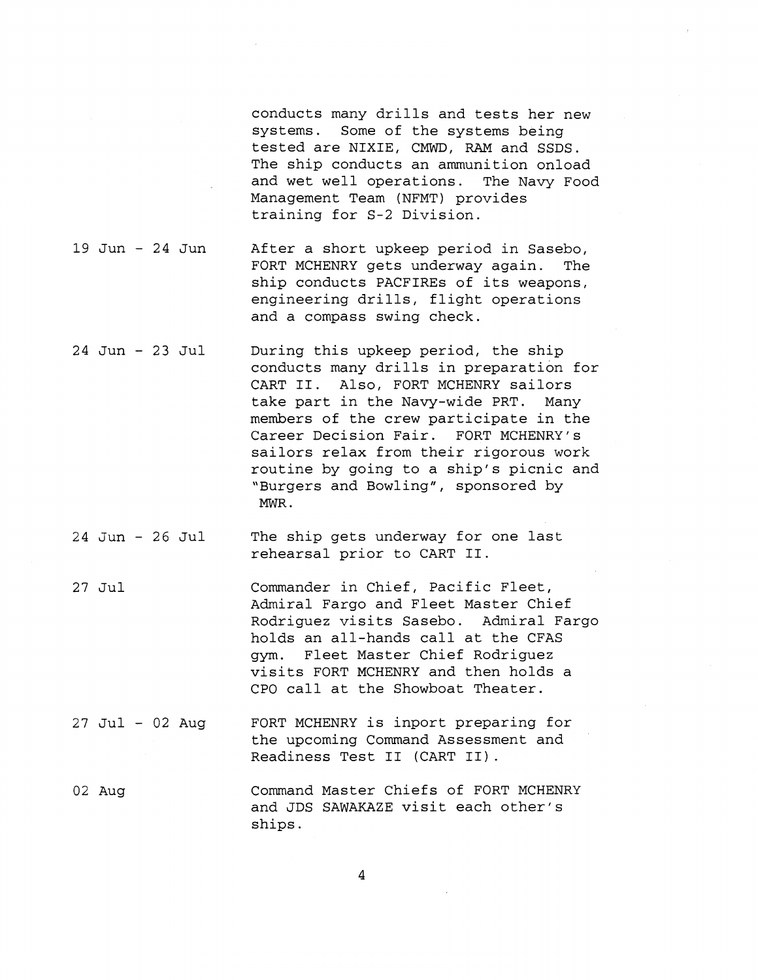conducts many drills and tests her new systems. Some of the systems being tested are NIXIE, CMWD, RAM and SSDS. The ship conducts an ammunition onload and wet well operations. The Navy Food Management Team (NFMT) provides training for S-2 Division.

- 19 Jun 24 Jun After a short upkeep period in Sasebo, FORT MCHENRY gets underway again. The ship conducts PACFIREs of its weapons, engineering drills, flight operations and a compass swing check.
- 24 Jun 23 Jul During this upkeep period, the ship conducts many drills in preparation for CART 11. Also, FORT MCHENRY sailors take part in the Navy-wide PRT. Many members of the crew participate in the Career Decision Fair. FORT MCHENRY's sailors relax from their rigorous work routine by going to a ship's picnic and "Burgers and Bowling", sponsored by MWR .
- 24 Jun 26 Jul The ship gets underway for one last rehearsal prior to CART 11.
- 27 Jul Commander in Chief, Pacific Fleet, Admiral Fargo and Fleet Master Chief Rodriguez visits Sasebo. Admiral Fargo holds an all-hands call at the CFAS gym. Fleet Master Chief Rodriguez visits FORT MCHENRY and then holds a CPO call at the Showboat Theater.
- 27 Jul 02 Aug FORT MCHENRY is inport preparing for the upcoming Command Assessment and Readiness Test I1 (CART 11) .
- 02 Aug Command Master Chiefs of FORT MCHENRY and JDS SAWAKAZE visit each other's ships.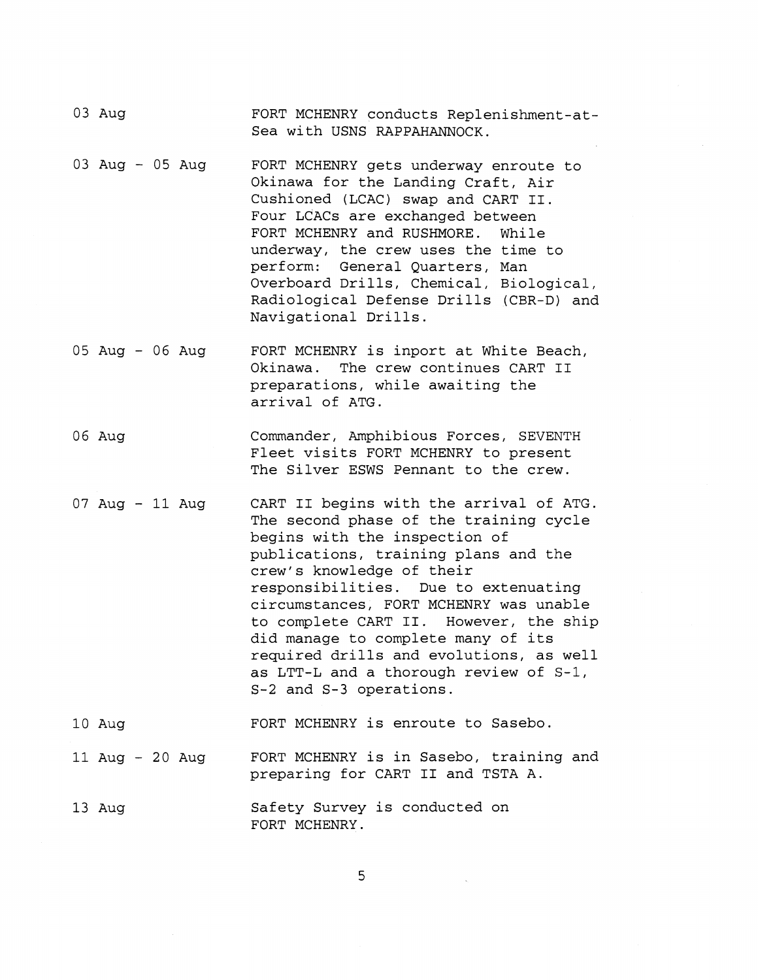- 03 Aug FORT MCHENRY conducts Replenishment-at-Sea with USNS RAPPAHANNOCK.
- 03 Aug 05 Aug FORT MCHENRY gets underway enroute to Okinawa for the Landing Craft, Air Cushioned (LCAC) swap and CART 11. Four LCACs are exchanged between FORT MCHENRY and RUSHMORE. While underway, the crew uses the time to perform: General Quarters, Man Overboard Drills, Chemical, Biological, Radiological Defense Drills (CBR-D) and Navigational Drills.
- 05 Aug 06 Aug FORT MCHENRY is inport at White Beach, Okinawa. The crew continues CART I1 preparations, while awaiting the arrival of ATG.
- 06 Aug Commander, Amphibious Forces, SEVENTH Fleet visits FORT MCHENRY to present The Silver ESWS Pennant to the crew.
- 07 Aug 11 Aug CART I1 begins with the arrival of ATG. The second phase of the training cycle begins with the inspection of publications, training plans and the crew's knowledge of their responsibilities. Due to extenuating circumstances, FORT MCHENRY was unable to complete CART 11. However, the ship did manage to complete many of its required drills and evolutions, as well as LTT-L and a thorough review of S-1, S-2 and S-3 operations.
- 10 Aug FORT MCHENRY is enroute to Sasebo.
- 11 Aug 20 Aug FORT MCHENRY is in Sasebo, training and preparing for CART I1 and TSTA A.
- 13 Aug Safety Survey is conducted on FORT MCHENRY.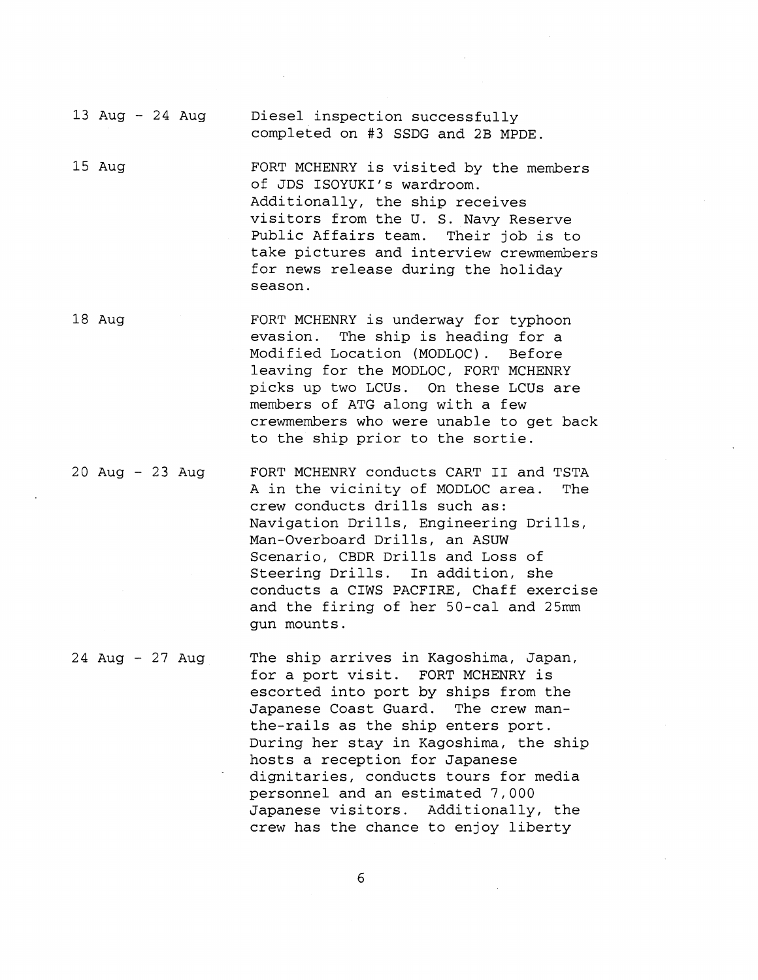13 Aug - 24 Aug Diesel inspection successfully completed on #3 SSDG and 2B MPDE.

- 15 Aug FORT MCHENRY is visited by the members of JDS ISOYUKI's wardroom. Additionally, the ship receives visitors from the U. S. Navy Reserve Public Affairs team. Their job is to take pictures and interview crewmembers for news release during the holiday season.
- 18 Aug FORT MCHENRY is underway for typhoon evasion. The ship is heading for a Modified Location (MODLOC) . Before leaving for the MODLOC, FORT MCHENRY picks up two LCUs. On these LCUs are members of ATG along with a few crewmembers who were unable to get back to the ship prior to the sortie.

20 Aug - 23 Aug FORT MCHENRY conducts CART I1 and TSTA A in the vicinity of MODLOC area. The crew conducts drills such as: Navigation Drills, Engineering Drills, Man-Overboard Drills, an ASUW Scenario, CBDR Drills and Loss of Steering Drills. In addition, she conducts a CIWS PACFIRE, Chaff exercise and the firing of her 50-cal and 25mm gun mounts.

24 Aug - 27 Aug The ship arrives in Kagoshima, Japan, for a port visit. FORT MCHENRY is escorted into port by ships from the Japanese Coast Guard. The crew manthe-rails as the ship enters port. During her stay in Kagoshima, the ship hosts a reception for Japanese dignitaries, conducts tours for media personnel and an estimated 7,000 Japanese visitors. Additionally, the crew has the chance to enjoy liberty

 $6\,$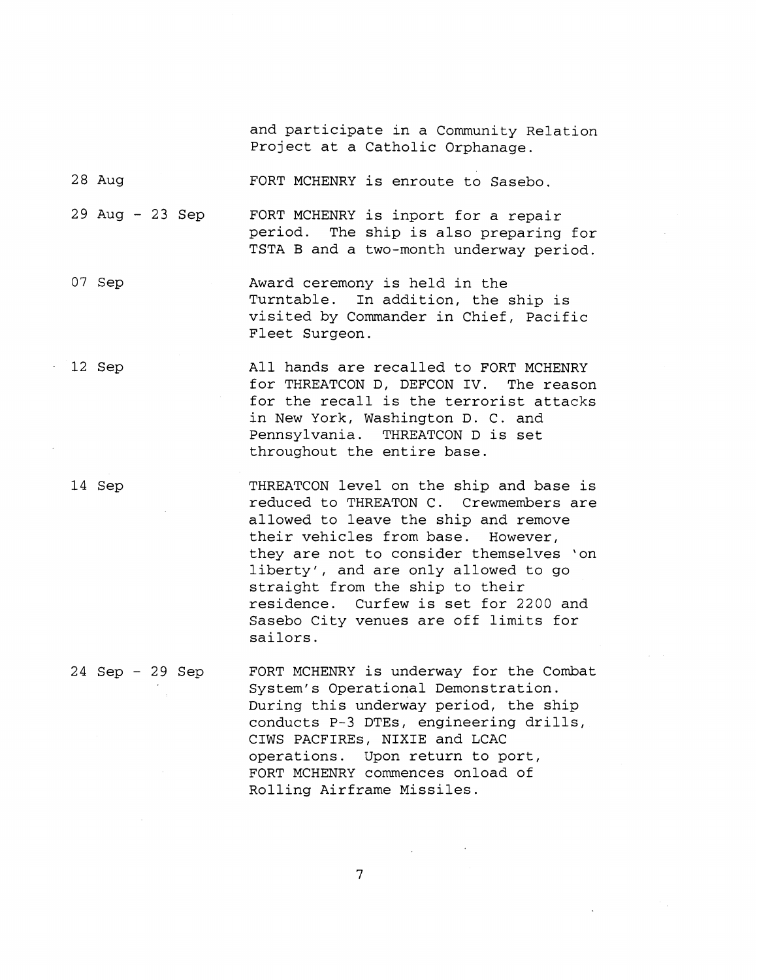and participate in a Community Relation Project at a Catholic Orphanage.

28 Aug FORT MCHENRY is enroute to Sasebo.

29 Aug - 23 Sep FORT MCHENRY is inport for a repair period. The ship is also preparing for TSTA B and a two-month underway period.

- 07 Sep Award ceremony is held in the Turntable. In addition, the ship is visited by Commander in Chief, Pacific Fleet Surgeon.
- 12 Sep

All hands are recalled to FORT MCHENRY for THREATCON D, DEFCON IV. The reason for the recall is the terrorist attacks in New York, Washington D. C. and Pennsylvania. THREATCON D is set throughout the entire base.

14 Sep

THREATCON level on the ship and base is reduced to THREATON C. Crewmembers are allowed to leave the ship and remove their vehicles from base. However, they are not to consider themselves 'on liberty', and are only allowed to go straight from the ship to their residence. Curfew is set for 2200 and Sasebo City venues are off limits for sailors.

24 Sep - 29 Sep FORT MCHENRY is underway for the Combat System's Operational Demonstration. During this underway period, the ship conducts P-3 DTEs, engineering drills, CIWS PACFIREs, NIXIE and LCAC operations. Upon return to port, FORT MCHENRY commences onload of Rolling Airframe Missiles.

 $\overline{7}$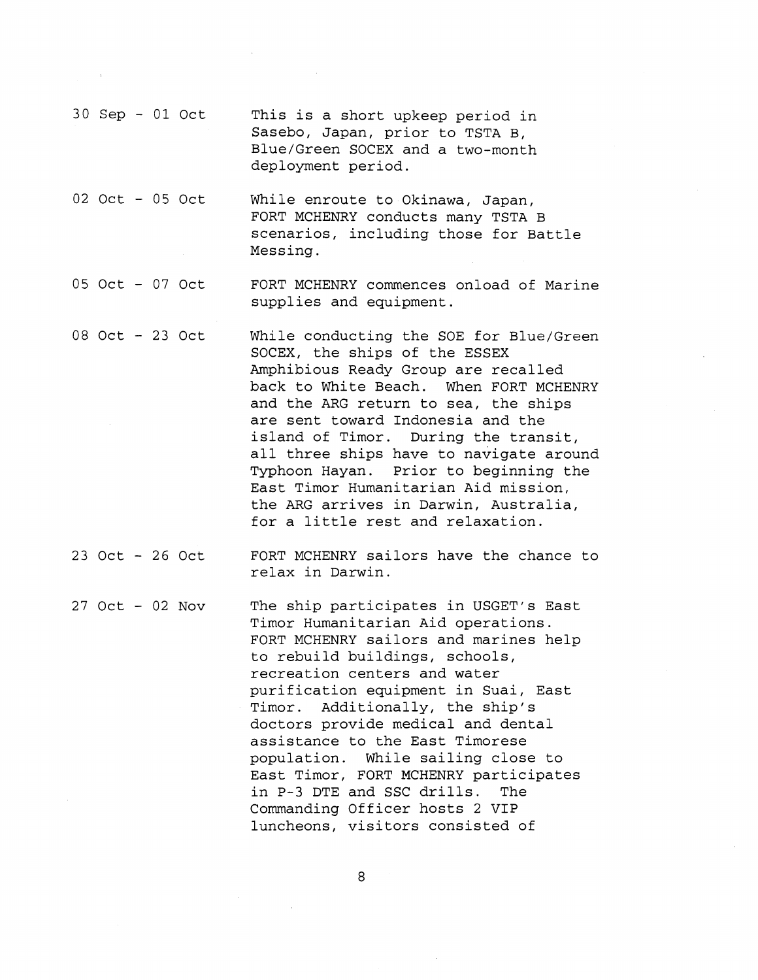- 30 Sep 01 Oct This is a short upkeep period in Sasebo, Japan, prior to TSTA B, Blue/Green SOCEX and a two-month deployment period.
- 02 Oct 05 Oct While enroute to Okinawa, Japan, FORT MCHENRY conducts many TSTA B scenarios, including those for Battle Messing.
- 05 Oct 07 Oct FORT MCHENRY commences onload of Marine supplies and equipment.
- 08 Oct 23 Oct While conducting the SOE for Blue/Green SOCEX, the ships of the ESSEX Amphibious Ready Group are recalled back to White Beach. When FORT MCHENRY and the ARG return to sea, the ships are sent toward Indonesia and the island of Timor. During the transit, all three ships have to navigate around Typhoon Hayan. Prior to beginning the East Timor Humanitarian Aid mission, the ARG arrives in Darwin, Australia, for a little rest and relaxation.
- 23 Oct 26 Oct FORT MCHENRY sailors have the chance to relax in Darwin.
- 27 Oct 02 Nov The ship participates in USGET's East Timor Humanitarian Aid operations. FORT MCHENRY sailors and marines help to rebuild buildings, schools, recreation centers and water purification equipment in Suai, East Timor. Additionally, the ship's doctors provide medical and dental assistance to the East Timorese population. While sailing close to East Timor, FORT MCHENRY participates in **P-3** DTE and SSC drills. The Commanding Officer hosts 2 VIP luncheons, visitors consisted of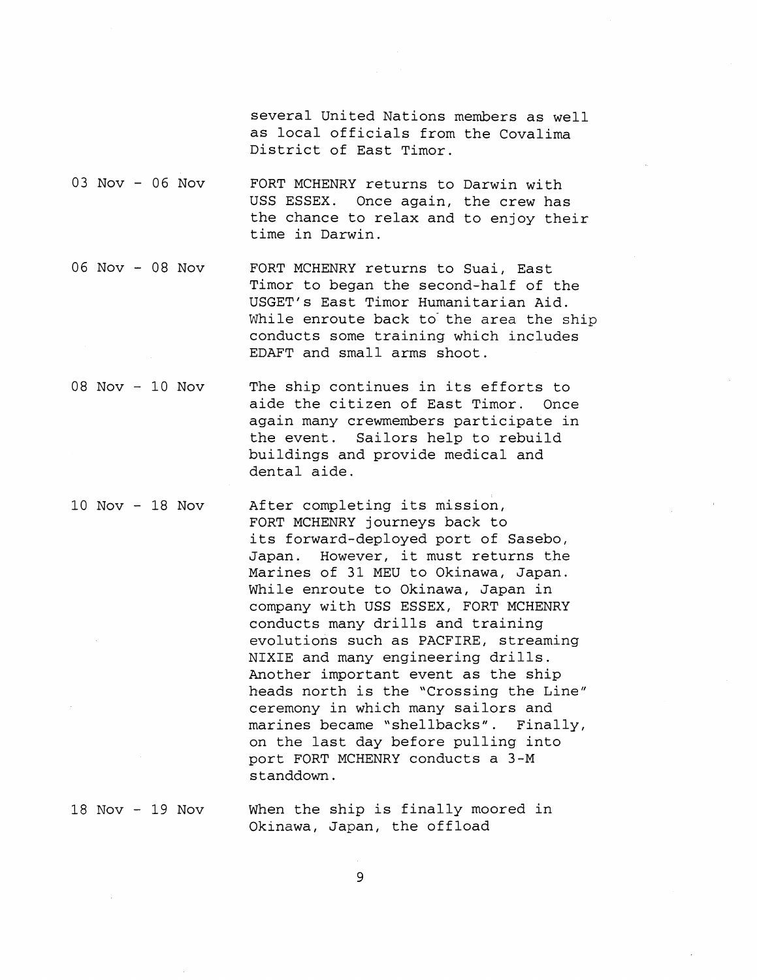several United Nations members as well as local officials from the Covalima District of East Timor.

- 03 Nov 06 Nov FORT MCHENRY returns to Darwin with USS ESSEX. Once again, the crew has the chance to relax and to enjoy their time in Darwin.
- 06 Nov 08 Nov FORT MCHENRY returns to Suai, East Timor to began the second-half of the USGET'S East Timor Humanitarian Aid. While enroute back to the area the ship conducts some training which includes EDAFT and small arms shoot.
- 08 Nov 10 Nov The ship continues in its efforts to aide the citizen of East Timor. Once again many crewmembers participate in the event. Sailors help to rebuild buildings and provide medical and dental aide.
- 10 Nov 18 Nov After completing its mission, FORT MCHENRY journeys back to its forward-deployed port of Sasebo, Japan. However, it must returns the Marines of 31 MEU to Okinawa, Japan. While enroute to Okinawa, Japan in company with USS ESSEX, FORT MCHENRY conducts many drills and training evolutions such as PACFIRE, streaming NIXIE and many engineering drills. Another important event as the ship heads north is the "Crossing the Line" ceremony in which many sailors and marines became "shellbacks". Finally, on the last day before pulling into port FORT MCHENRY conducts a 3-M standdown.

18 Nov - 19 Nov When the ship is finally moored in Okinawa, Japan, the offload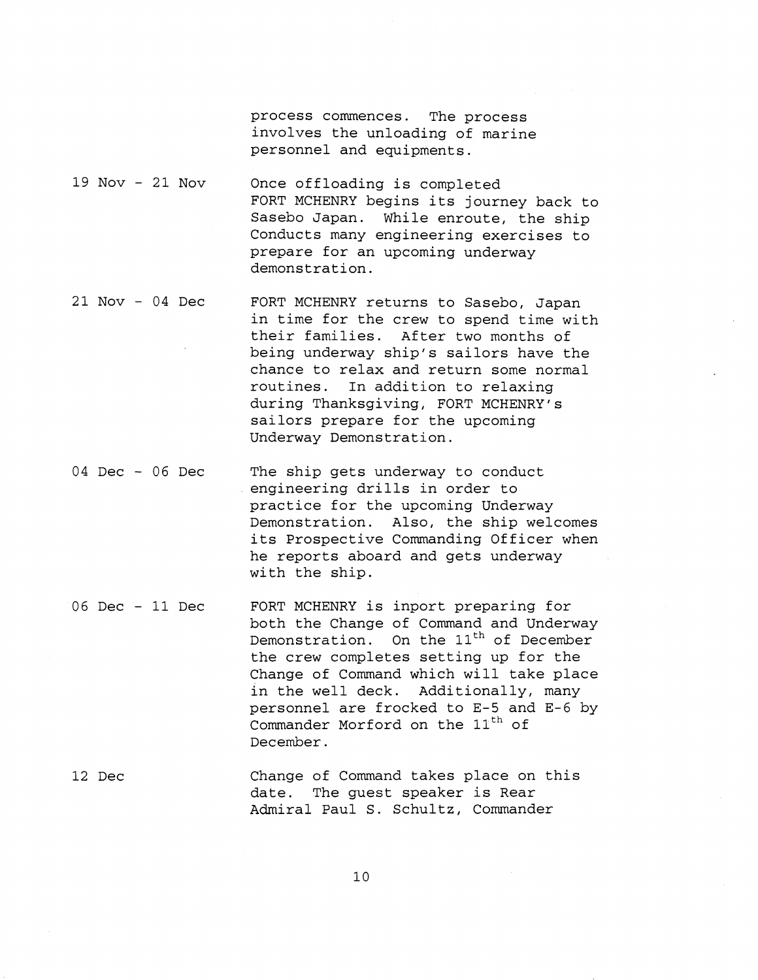process commences. The process involves the unloading of marine personnel and equipments.

- 19 Nov 21 Nov Once offloading is completed FORT MCHENRY begins its journey back to Sasebo Japan. While enroute, the ship Conducts many engineering exercises to prepare for an upcoming underway demonstration.
- 21 Nov 04 Dec FORT MCHENRY returns to Sasebo, Japan in time for the crew to spend time with their families. After two months of being underway ship's sailors have the chance to relax and return some normal routines. In addition to relaxing during Thanksgiving, FORT MCHENRY's sailors prepare for the upcoming Underway Demonstration.
- 04 Dec 06 Dec The ship gets underway to conduct engineering drills in order to practice for the upcoming Underway Demonstration. Also, the ship welcomes its Prospective Commanding Officer when he reports aboard and gets underway with the ship.
- 06 Dec 11 Dec FORT MCHENRY is inport preparing for both the Change of Command and Underway Demonstration. On the  $11<sup>th</sup>$  of December the crew completes setting up for the Change of Command which will take place in the well deck. Additionally, many personnel are frocked to E-5 and E-6 by Commander Morford on the  $11<sup>th</sup>$  of December.
- 12 Dec Change of Command takes place on this date. The guest speaker is Rear Admiral Paul S. Schultz, Commander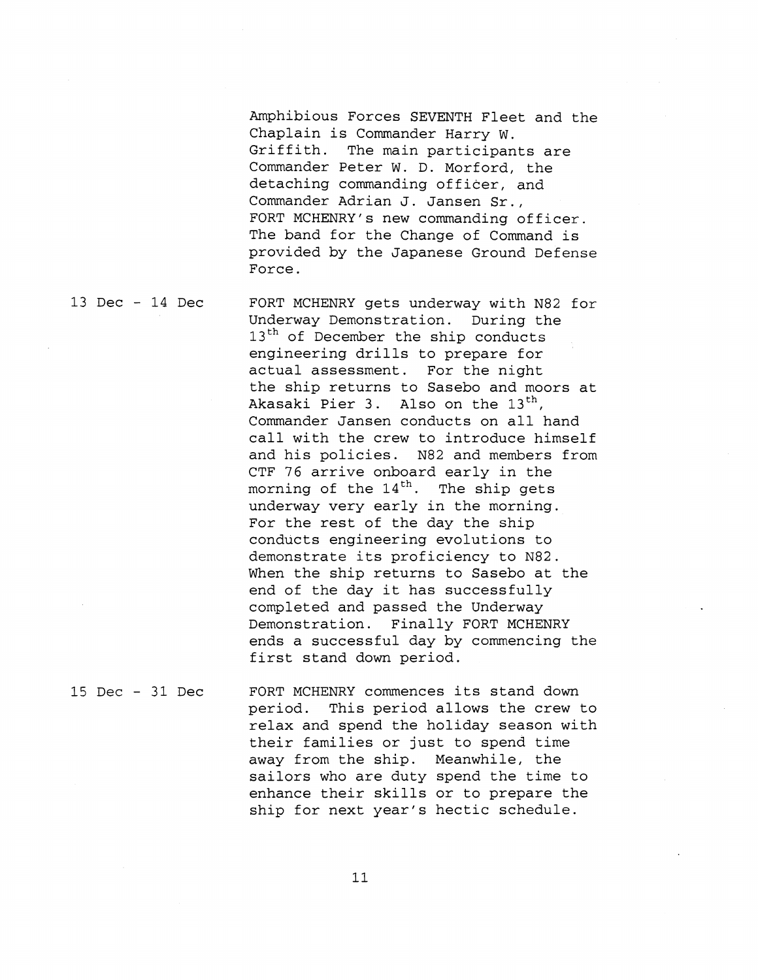Amphibious Forces SEVENTH Fleet and the Chaplain is Commander Harry W. Griffith. The main participants are Commander Peter W. D. Morford, the detaching commanding officer, and Commander Adrian J. Jansen Sr., FORT MCHENRY's new commanding officer. The band for the Change of Command is provided by the Japanese Ground Defense Force.

13 Dec - 14 Dec FORT MCHENRY gets underway with N82 for Underway Demonstration. During the 13<sup>th</sup> of December the ship conducts engineering drills to prepare for actual assessment. For the night the ship returns to Sasebo and moors at Akasaki Pier 3. Also on the  $13<sup>th</sup>$ , Commander Jansen conducts on all hand call with the crew to introduce himself and his policies. N82 and members from CTF 76 arrive onboard early in the morning of the  $14<sup>th</sup>$ . The ship gets underway very early in the morning. For the rest of the day the ship conducts engineering evolutions to demonstrate its proficiency to N82. When the ship returns to Sasebo at the end of the day it has successfully completed and passed the Underway Demonstration. Finally FORT MCHENRY ends a successful day by commencing the first stand down period.

15 Dec - 31 Dec FORT MCHENRY commences its stand down period. This period allows the crew to relax and spend the holiday season with their families or just to spend time away from the ship. Meanwhile, the sailors who are duty spend the time to enhance their skills or to prepare the ship for next year's hectic schedule.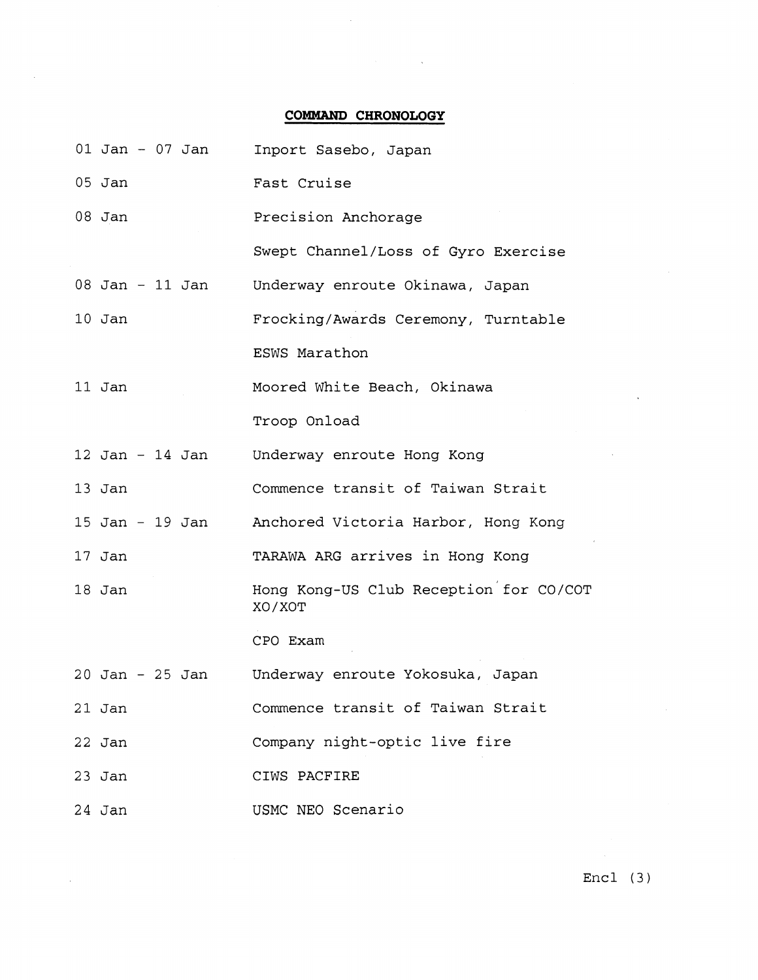## **COMMAND CHRONOLOGY**

 $\alpha$ 

 $\sim 10^{-1}$ 

 $\label{eq:2.1} \mathcal{L}^{\text{max}}_{\text{max}}(\mathbf{x}) = \mathcal{L}^{\text{max}}_{\text{max}}(\mathbf{x})$ 

|                     |  | 01 Jan - 07 Jan | Inport Sasebo, Japan                             |
|---------------------|--|-----------------|--------------------------------------------------|
| $05$ Jan            |  |                 | Fast Cruise                                      |
| $08$ Jan            |  |                 | Precision Anchorage                              |
|                     |  |                 | Swept Channel/Loss of Gyro Exercise              |
| 08 Jan - 11 Jan     |  |                 | Underway enroute Okinawa, Japan                  |
| $10$ Jan            |  |                 | Frocking/Awards Ceremony, Turntable              |
|                     |  |                 | ESWS Marathon                                    |
| 11 Jan              |  |                 | Moored White Beach, Okinawa                      |
|                     |  |                 | Troop Onload                                     |
| $12$ Jan - $14$ Jan |  |                 | Underway enroute Hong Kong                       |
| $13$ Jan            |  |                 | Commence transit of Taiwan Strait                |
| $15$ Jan - $19$ Jan |  |                 | Anchored Victoria Harbor, Hong Kong              |
| $17$ Jan            |  |                 | TARAWA ARG arrives in Hong Kong                  |
| $18$ Jan            |  |                 | Hong Kong-US Club Reception for CO/COT<br>XO/XOT |
|                     |  |                 | CPO Exam                                         |
| $20$ Jan - $25$ Jan |  |                 | Underway enroute Yokosuka, Japan                 |
| $21$ Jan            |  |                 | Commence transit of Taiwan Strait                |
| $22$ Jan            |  |                 | Company night-optic live fire                    |
| $23$ Jan            |  |                 | CIWS PACFIRE                                     |
| 24 Jan              |  |                 | USMC NEO Scenario                                |

Encl (3)

 $\bar{.}$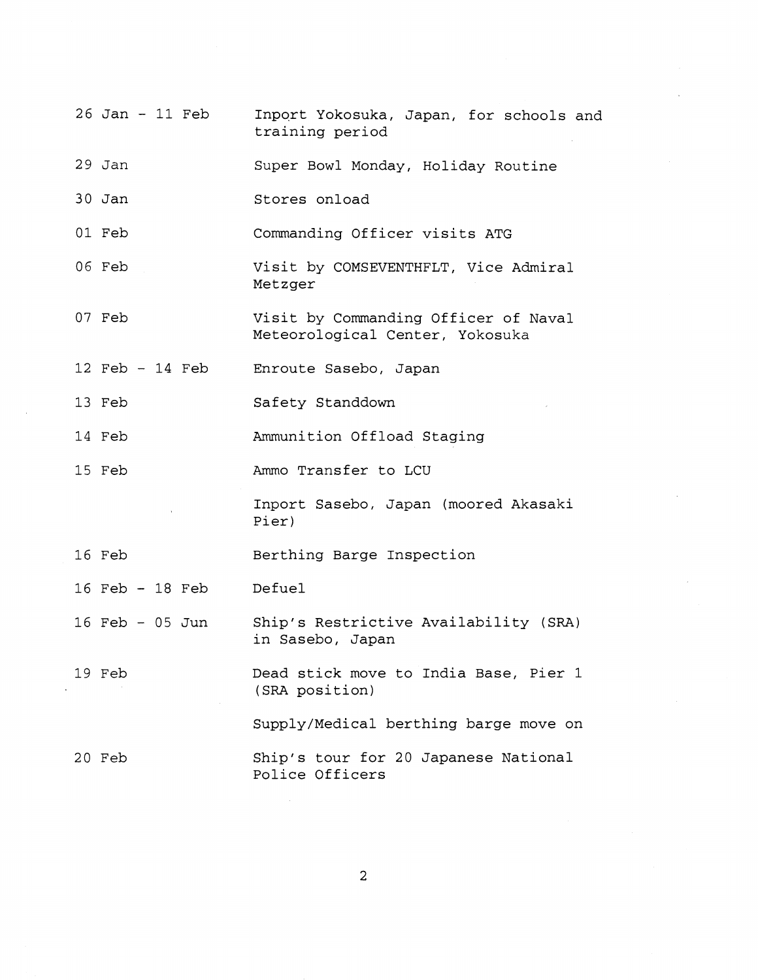26 Jan - 11 Feb 29 Jan 30 Jan 01 Feb 06 Feb 07 Feb 12 Feb - 14 Feb 13 Feb 14 Feb 15 Feb 16 Feb 16 Feb - 18 Feb 16 Feb - 05 Jun 19 Feb 20 Feb Inport Yokosuka, Japan, for schools and training period Super Bowl Monday, Holiday Routine Stores onload Commanding Officer visits ATG Visit by COMSEVENTHFLT, Vice Admiral Metzger Visit by Commanding Officer of Naval Meteorological Center, Yokosuka Enroute Sasebo, Japan Safety Standdown Ammunition Offload Staging Ammo Transfer to LCU Inport Sasebo, Japan (moored Akasaki Pier) Berthing Barge Inspection Defuel Ship's Restrictive Availability (SRA) in Sasebo, Japan Dead stick move to India Base, Pier 1 (SRA position) Supply/Medical berthing barge move on Ship's tour for 20 Japanese National Police Officers

 $\overline{2}$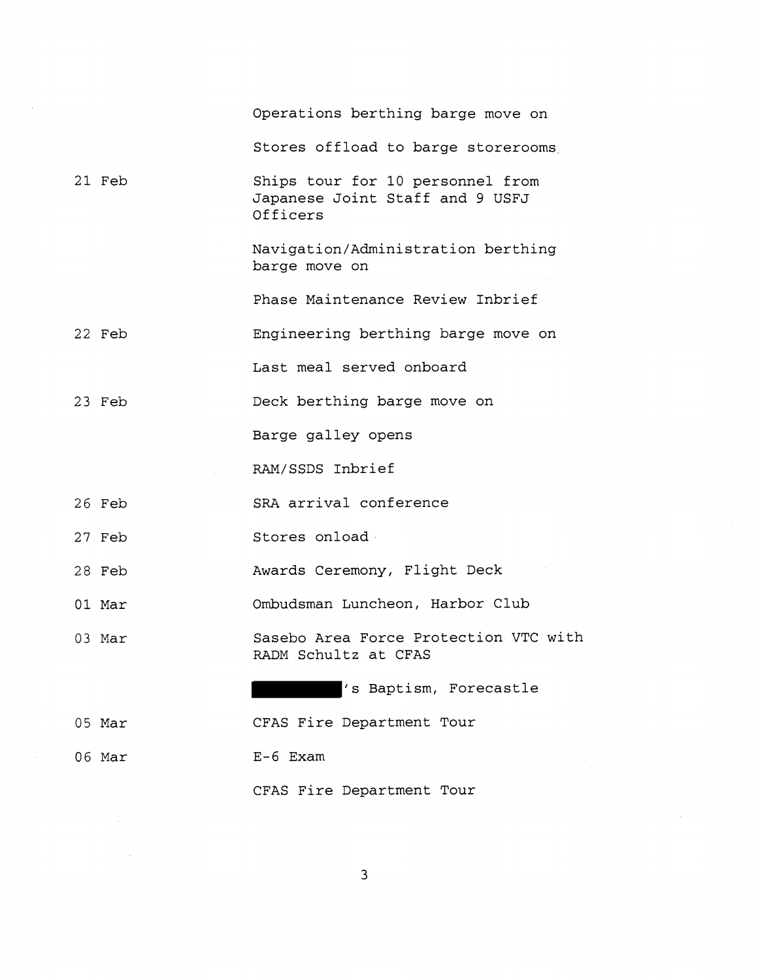|        | Operations berthing barge move on                                               |
|--------|---------------------------------------------------------------------------------|
|        | Stores offload to barge storerooms                                              |
| 21 Feb | Ships tour for 10 personnel from<br>Japanese Joint Staff and 9 USFJ<br>Officers |
|        | Navigation/Administration berthing<br>barge move on                             |
|        | Phase Maintenance Review Inbrief                                                |
| 22 Feb | Engineering berthing barge move on                                              |
|        | Last meal served onboard                                                        |
| 23 Feb | Deck berthing barge move on                                                     |
|        | Barge galley opens                                                              |
|        | RAM/SSDS Inbrief                                                                |
| 26 Feb | SRA arrival conference                                                          |
| 27 Feb | Stores onload                                                                   |
| 28 Feb | Awards Ceremony, Flight Deck                                                    |
| 01 Mar | Ombudsman Luncheon, Harbor Club                                                 |
| 03 Mar | Sasebo Area Force Protection VTC with<br>RADM Schultz at CFAS                   |
|        | 's Baptism, Forecastle                                                          |
| 05 Mar | CFAS Fire Department Tour                                                       |
| 06 Mar | $E-6$ Exam                                                                      |
|        | CFAS Fire Department Tour                                                       |

 $\overline{3}$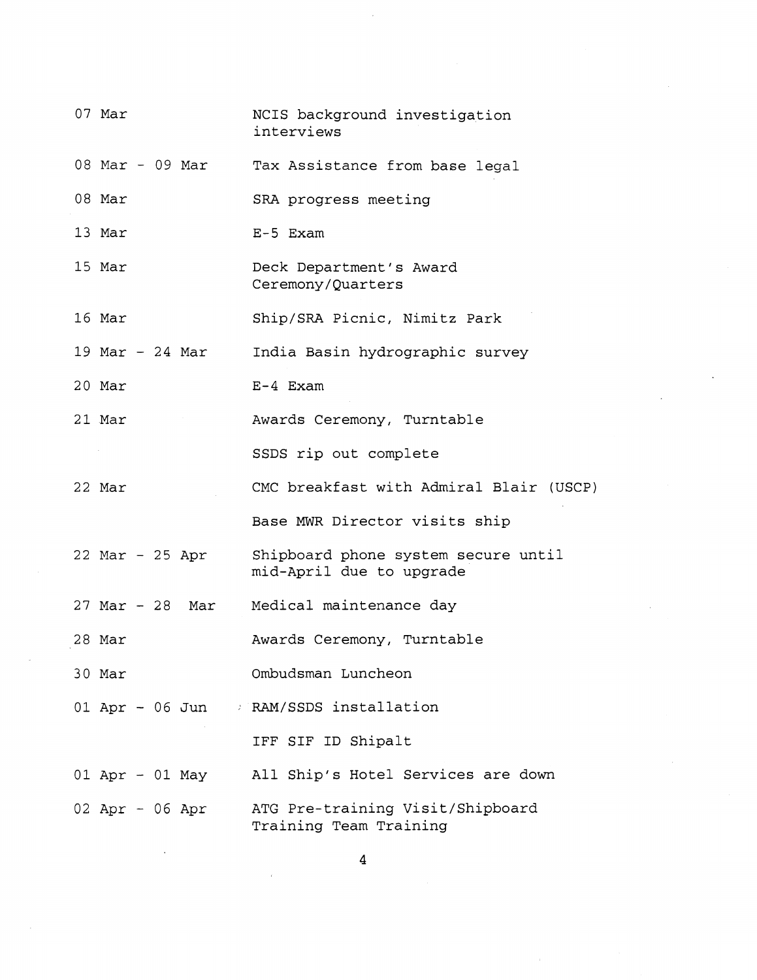| 07 Mar            |  |                 | NCIS background investigation<br>interviews                     |
|-------------------|--|-----------------|-----------------------------------------------------------------|
|                   |  | 08 Mar - 09 Mar | Tax Assistance from base legal                                  |
| 08 Mar            |  |                 | SRA progress meeting                                            |
| 13 Mar            |  |                 | $E-5$ Exam                                                      |
| 15 Mar            |  |                 | Deck Department's Award<br>Ceremony/Quarters                    |
| 16 Mar            |  |                 | Ship/SRA Picnic, Nimitz Park                                    |
| 19 Mar $-$ 24 Mar |  |                 | India Basin hydrographic survey                                 |
| 20 Mar            |  |                 | $E-4$ Exam                                                      |
| 21 Mar            |  |                 | Awards Ceremony, Turntable                                      |
|                   |  |                 | SSDS rip out complete                                           |
| 22 Mar            |  |                 | CMC breakfast with Admiral Blair (USCP)                         |
|                   |  |                 | Base MWR Director visits ship                                   |
| 22 Mar - 25 Apr   |  |                 | Shipboard phone system secure until<br>mid-April due to upgrade |
|                   |  |                 | 27 Mar - 28 Mar Medical maintenance day                         |
| 28 Mar            |  |                 | Awards Ceremony, Turntable                                      |
| 30 Mar            |  |                 | Ombudsman Luncheon                                              |
|                   |  |                 | 01 Apr - 06 Jun / RAM/SSDS installation                         |
|                   |  |                 | IFF SIF ID Shipalt                                              |
|                   |  | 01 Apr - 01 May | All Ship's Hotel Services are down                              |
| $02$ Apr - 06 Apr |  |                 | ATG Pre-training Visit/Shipboard<br>Training Team Training      |

 $\label{eq:2} \frac{1}{\sqrt{2}}\sum_{i=1}^{n-1} \frac{1}{\sqrt{2}}\sum_{i=1}^{n-1} \frac{1}{\sqrt{2}}\sum_{i=1}^{n-1} \frac{1}{\sqrt{2}}\sum_{i=1}^{n-1} \frac{1}{\sqrt{2}}\sum_{i=1}^{n-1} \frac{1}{\sqrt{2}}\sum_{i=1}^{n-1} \frac{1}{\sqrt{2}}\sum_{i=1}^{n-1} \frac{1}{\sqrt{2}}\sum_{i=1}^{n-1} \frac{1}{\sqrt{2}}\sum_{i=1}^{n-1} \frac{1}{\sqrt{2}}\sum_{i=$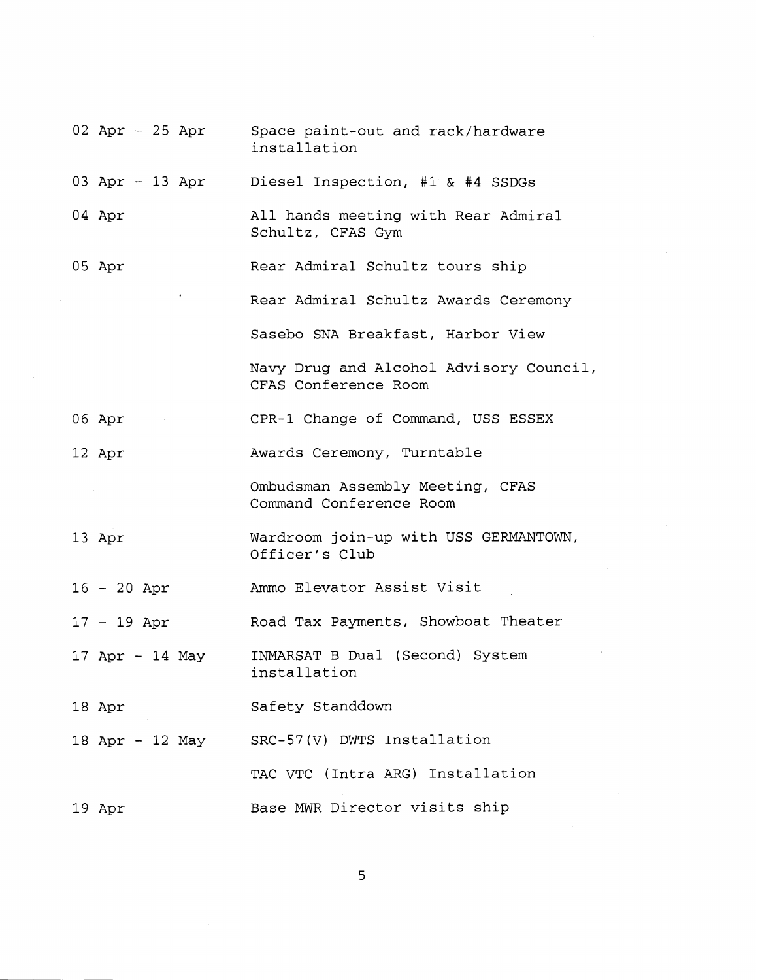| 02 Apr - 25 Apr                                                       | Space paint-out and rack/hardware<br>installation               |
|-----------------------------------------------------------------------|-----------------------------------------------------------------|
|                                                                       | 03 Apr - 13 Apr Diesel Inspection, #1 & #4 SSDGs                |
| 04 Apr                                                                | All hands meeting with Rear Admiral<br>Schultz, CFAS Gym        |
| 05 Apr                                                                | Rear Admiral Schultz tours ship                                 |
|                                                                       | Rear Admiral Schultz Awards Ceremony                            |
|                                                                       | Sasebo SNA Breakfast, Harbor View                               |
|                                                                       | Navy Drug and Alcohol Advisory Council,<br>CFAS Conference Room |
| 06 Apr<br>$\mathcal{L}(\mathcal{L})$ and $\mathcal{L}(\mathcal{L})$ . | CPR-1 Change of Command, USS ESSEX                              |
| 12 Apr                                                                | Awards Ceremony, Turntable                                      |
|                                                                       | Ombudsman Assembly Meeting, CFAS<br>Command Conference Room     |
| 13 Apr                                                                | Wardroom join-up with USS GERMANTOWN,<br>Officer's Club         |
| $16 - 20$ Apr                                                         | Ammo Elevator Assist Visit                                      |
| $17 - 19$ Apr                                                         | Road Tax Payments, Showboat Theater                             |
| $17$ Apr - 14 May                                                     | INMARSAT B Dual (Second) System<br>installation                 |
| 18 Apr                                                                | Safety Standdown                                                |
| 18 Apr - 12 May                                                       | SRC-57(V) DWTS Installation                                     |
|                                                                       | TAC VTC (Intra ARG) Installation                                |
| 19 Apr                                                                | Base MWR Director visits ship                                   |

 $\overline{5}$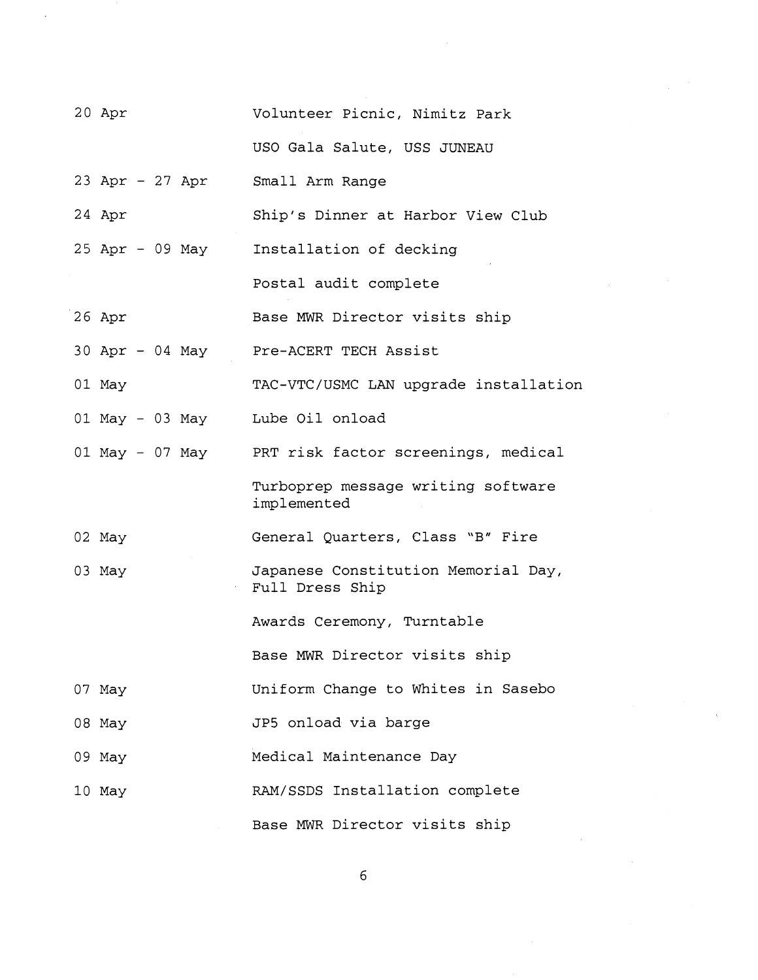| 20 Apr                          | Volunteer Picnic, Nimitz Park                          |
|---------------------------------|--------------------------------------------------------|
|                                 | USO Gala Salute, USS JUNEAU                            |
| 23 Apr - 27 Apr                 | Small Arm Range                                        |
| 24 Apr                          | Ship's Dinner at Harbor View Club                      |
| 25 Apr - 09 May                 | Installation of decking                                |
|                                 | Postal audit complete                                  |
| 26 Apr                          | Base MWR Director visits ship                          |
| 30 Apr - 04 May                 | Pre-ACERT TECH Assist                                  |
| 01 May                          | TAC-VTC/USMC LAN upgrade installation                  |
| 01 May - 03 May Lube Oil onload |                                                        |
| 01 May - 07 May                 | PRT risk factor screenings, medical                    |
|                                 | Turboprep message writing software<br>implemented      |
| 02 May                          | General Quarters, Class "B" Fire                       |
| 03 May                          | Japanese Constitution Memorial Day,<br>Full Dress Ship |
|                                 | Awards Ceremony, Turntable                             |
|                                 | Base MWR Director visits ship                          |
| 07 May                          | Uniform Change to Whites in Sasebo                     |
| 08 May                          | JP5 onload via barge                                   |
| 09 May                          | Medical Maintenance Day                                |
| 10 May                          | RAM/SSDS Installation complete                         |
|                                 | Base MWR Director visits ship                          |

 $6\overline{6}$ 

 $\hat{\lambda}$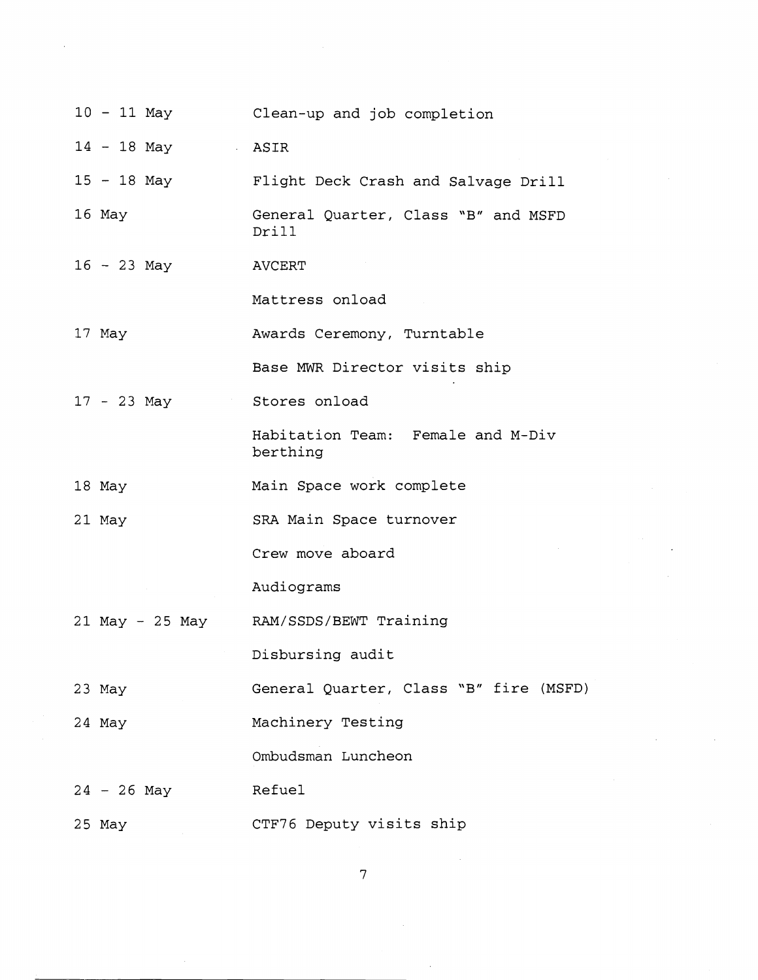| 10 - 11 May                 | Clean-up and job completion                   |
|-----------------------------|-----------------------------------------------|
| $14 - 18$ May $\qquad$ ASIR |                                               |
| 15 - 18 May                 | Flight Deck Crash and Salvage Drill           |
| 16 May                      | General Quarter, Class "B" and MSFD<br>Drill  |
| $16 - 23$ May               | AVCERT                                        |
|                             | Mattress onload                               |
| 17 May                      | Awards Ceremony, Turntable                    |
|                             | Base MWR Director visits ship                 |
| $17 - 23$ May               | Stores onload                                 |
|                             | Habitation Team: Female and M-Div<br>berthing |
| 18 May                      | Main Space work complete                      |
| 21 May                      | SRA Main Space turnover                       |
|                             | Crew move aboard                              |
|                             | Audiograms                                    |
|                             | 21 May - 25 May RAM/SSDS/BEWT Training        |
|                             | Disbursing audit                              |
| 23 May                      | General Quarter, Class "B" fire (MSFD)        |
| 24 May                      | Machinery Testing                             |
|                             | Ombudsman Luncheon                            |
| $24 - 26$ May               | Refuel                                        |
| $25$ May                    | CTF76 Deputy visits ship                      |

 $\overline{7}$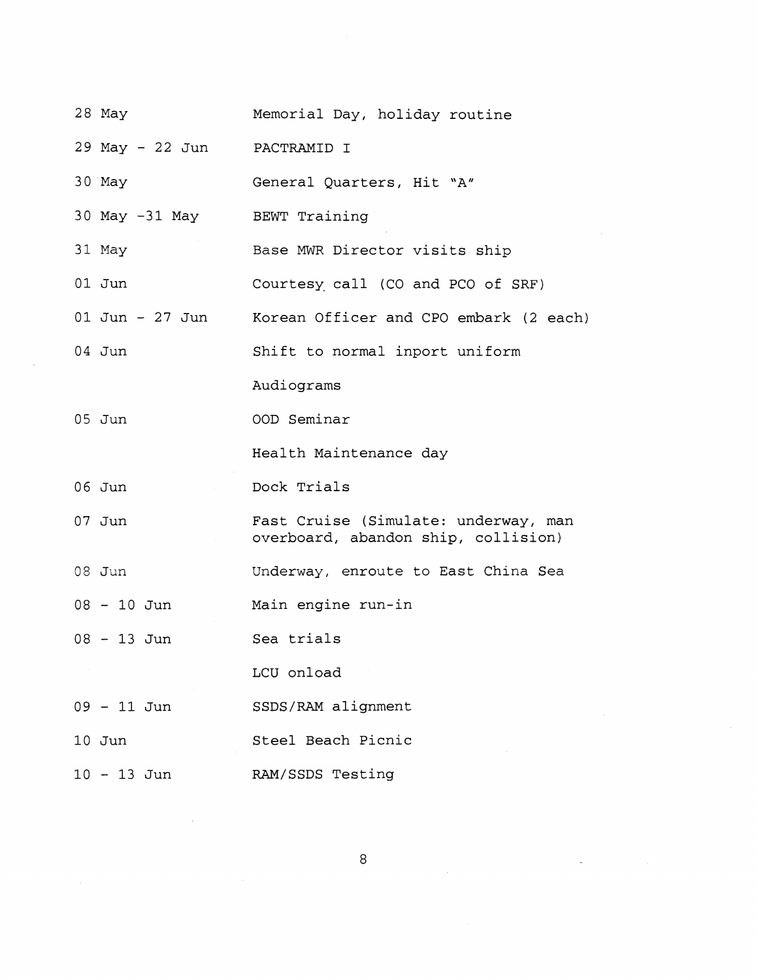| 28 May          | Memorial Day, holiday routine                                               |
|-----------------|-----------------------------------------------------------------------------|
| 29 May - 22 Jun | PACTRAMID I                                                                 |
| 30 May          | General Quarters, Hit "A"                                                   |
| 30 May -31 May  | BEWT Training                                                               |
| 31 May          | Base MWR Director visits ship                                               |
| 01 Jun          | Courtesy call (CO and PCO of SRF)                                           |
| 01 Jun - 27 Jun | Korean Officer and CPO embark (2 each)                                      |
| $04$ Jun        | Shift to normal inport uniform                                              |
|                 | Audiograms                                                                  |
| $05$ Jun        | OOD Seminar                                                                 |
|                 | Health Maintenance day                                                      |
| 06 Jun          | Dock Trials                                                                 |
| $07$ Jun        | Fast Cruise (Simulate: underway, man<br>overboard, abandon ship, collision) |
| $08$ Jun        | Underway, enroute to East China Sea                                         |
| $08 - 10$ Jun   | Main engine run-in                                                          |
| $08 - 13$ Jun   | Sea trials                                                                  |
|                 |                                                                             |
|                 | LCU onload                                                                  |
| 09 - 11 Jun     | SSDS/RAM alignment                                                          |
| $10$ Jun        | Steel Beach Picnic                                                          |

8

 $\label{eq:2.1} \frac{1}{\sqrt{2\pi}}\sum_{i=1}^n\frac{1}{\sqrt{2\pi}}\sum_{i=1}^n\frac{1}{\sqrt{2\pi}}\sum_{i=1}^n\frac{1}{\sqrt{2\pi}}\sum_{i=1}^n\frac{1}{\sqrt{2\pi}}\sum_{i=1}^n\frac{1}{\sqrt{2\pi}}\sum_{i=1}^n\frac{1}{\sqrt{2\pi}}\sum_{i=1}^n\frac{1}{\sqrt{2\pi}}\sum_{i=1}^n\frac{1}{\sqrt{2\pi}}\sum_{i=1}^n\frac{1}{\sqrt{2\pi}}\sum_{i=1}^n\$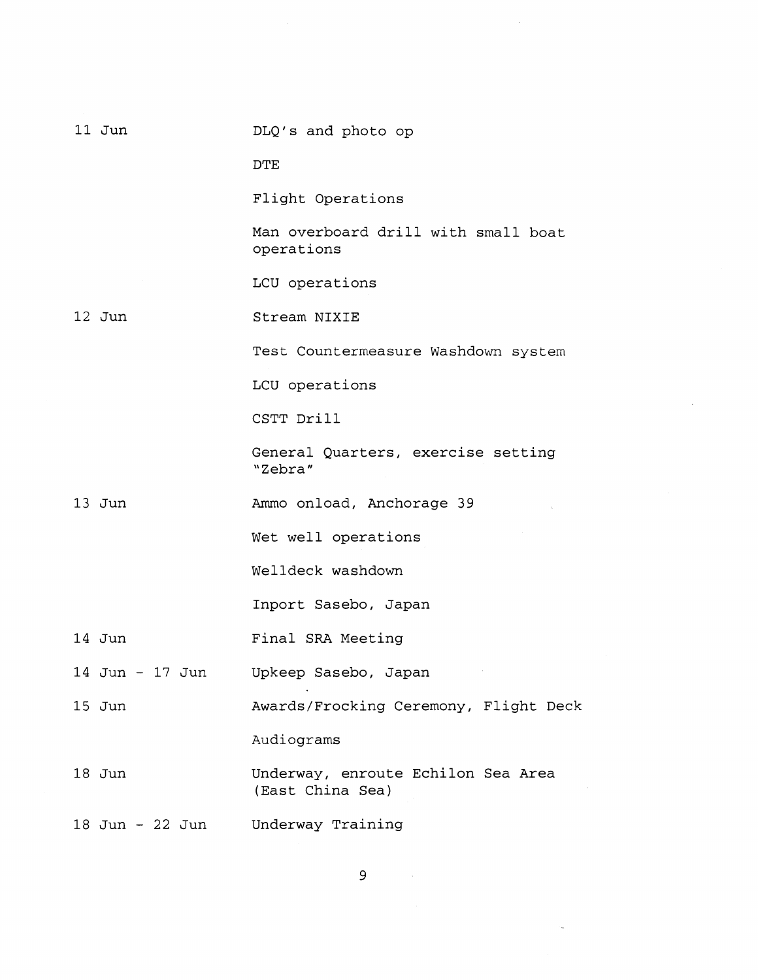| $11$ Jun        | DLQ's and photo op                                     |
|-----------------|--------------------------------------------------------|
|                 | DTE                                                    |
|                 | Flight Operations                                      |
|                 | Man overboard drill with small boat<br>operations      |
|                 | LCU operations                                         |
| 12 Jun          | Stream NIXIE                                           |
|                 | Test Countermeasure Washdown system                    |
|                 | LCU operations                                         |
|                 | CSTT Drill                                             |
|                 | General Quarters, exercise setting<br>"Zebra"          |
| 13 Jun          | Ammo onload, Anchorage 39                              |
|                 | Wet well operations                                    |
|                 | Welldeck washdown                                      |
|                 | Inport Sasebo, Japan                                   |
| 14 Jun          | Final SRA Meeting                                      |
| 14 Jun - 17 Jun | Upkeep Sasebo, Japan                                   |
| $15$ Jun        | Awards/Frocking Ceremony, Flight Deck                  |
|                 | Audiograms                                             |
| 18 Jun          | Underway, enroute Echilon Sea Area<br>(East China Sea) |
| 18 Jun - 22 Jun | Underway Training                                      |

 $\overline{9}$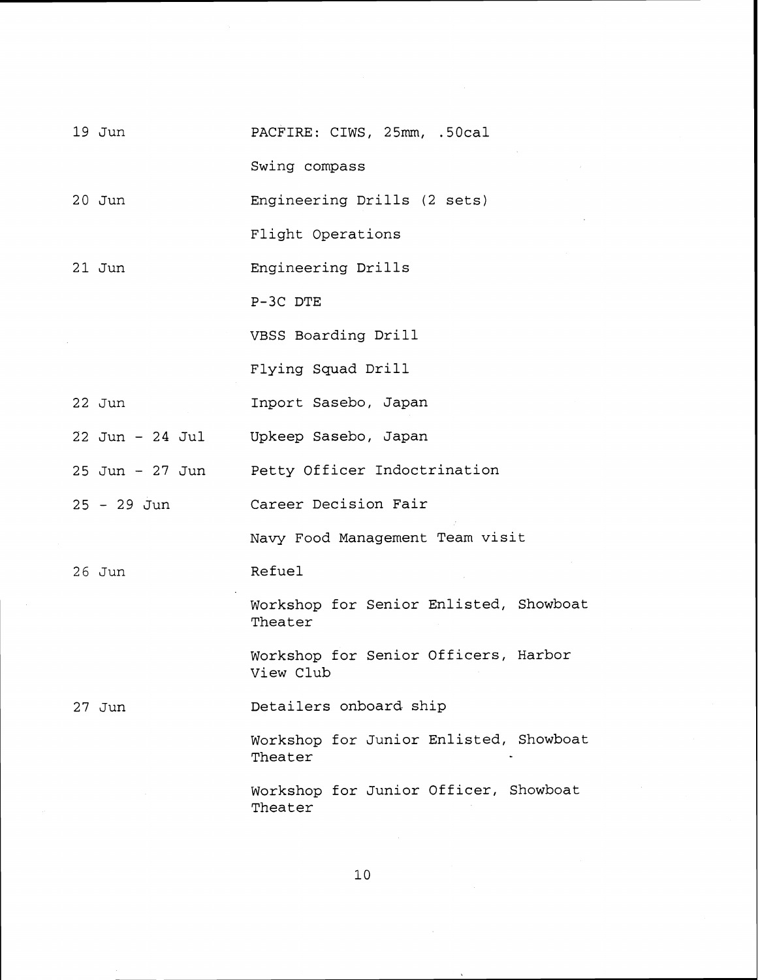| 19 Jun          | PACFIRE: CIWS, 25mm, .50cal                       |
|-----------------|---------------------------------------------------|
|                 | Swing compass                                     |
| $20$ Jun        | Engineering Drills (2 sets)                       |
|                 | Flight Operations                                 |
| $21$ Jun        | Engineering Drills                                |
|                 | P-3C DTE                                          |
|                 | VBSS Boarding Drill                               |
|                 | Flying Squad Drill                                |
| $22$ Jun        | Inport Sasebo, Japan                              |
| 22 Jun - 24 Jul | Upkeep Sasebo, Japan                              |
| 25 Jun – 27 Jun | Petty Officer Indoctrination                      |
| 25 - 29 Jun     | Career Decision Fair                              |
|                 | Navy Food Management Team visit                   |
| $26$ Jun        | <b>Refuel</b>                                     |
|                 | Workshop for Senior Enlisted, Showboat<br>Theater |
|                 | Workshop for Senior Officers, Harbor<br>View Club |
| 27 Jun          | Detailers onboard ship                            |
|                 | Workshop for Junior Enlisted, Showboat<br>Theater |
|                 | Workshop for Junior Officer, Showboat<br>Theater  |

 $\mathbf{10}$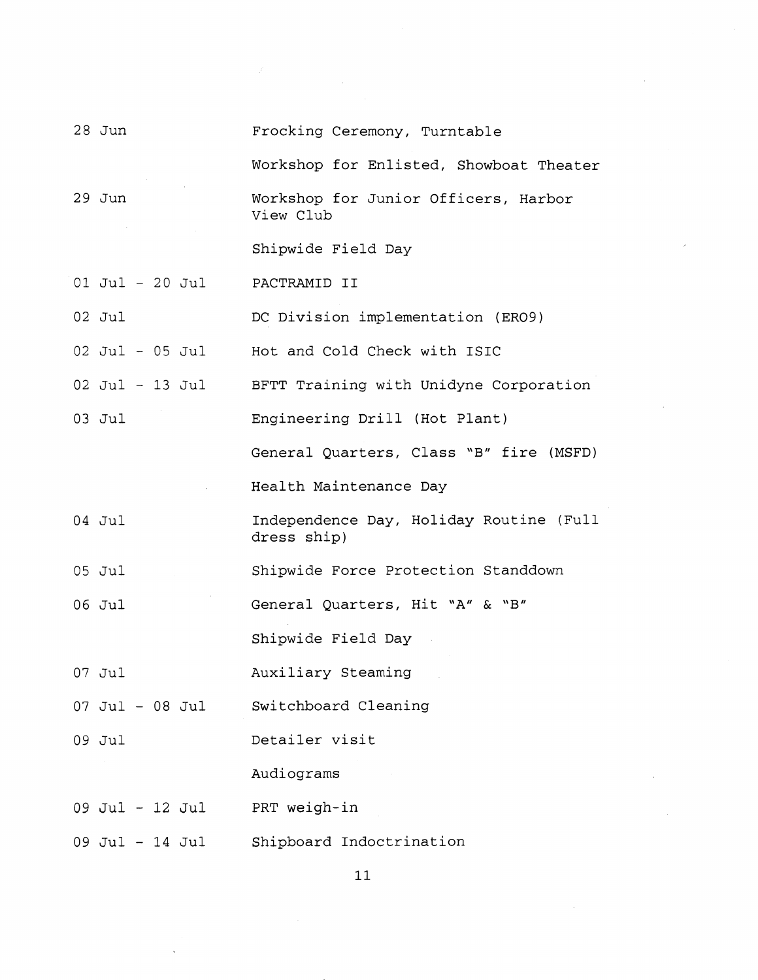| $28$ Jun          | Frocking Ceremony, Turntable                           |
|-------------------|--------------------------------------------------------|
|                   | Workshop for Enlisted, Showboat Theater                |
| $29$ Jun          | Workshop for Junior Officers, Harbor<br>View Club      |
|                   | Shipwide Field Day                                     |
| $01$ Jul - 20 Jul | PACTRAMID II                                           |
| $02$ Jul          | DC Division implementation (ERO9)                      |
| 02 Jul - 05 Jul   | Hot and Cold Check with ISIC                           |
| $02$ Jul - 13 Jul | BFTT Training with Unidyne Corporation                 |
| 03 Jul            | Engineering Drill (Hot Plant)                          |
|                   | General Quarters, Class "B" fire (MSFD)                |
|                   | Health Maintenance Day                                 |
| 04 Jul            | Independence Day, Holiday Routine (Full<br>dress ship) |
| 05 Jul            | Shipwide Force Protection Standdown                    |
| 06 Jul            | General Quarters, Hit "A" & "B"                        |
|                   | Shipwide Field Day                                     |
| 07 Jul            | Auxiliary Steaming                                     |
| 07 Jul - 08 Jul   | Switchboard Cleaning                                   |
| 09 Jul            | Detailer visit                                         |
|                   | Audiograms                                             |
| 09 Jul - 12 Jul   | PRT weigh-in                                           |
| 09 Jul - 14 Jul   | Shipboard Indoctrination                               |

 $\mathscr{S}$ 

 $\mathbf{11}$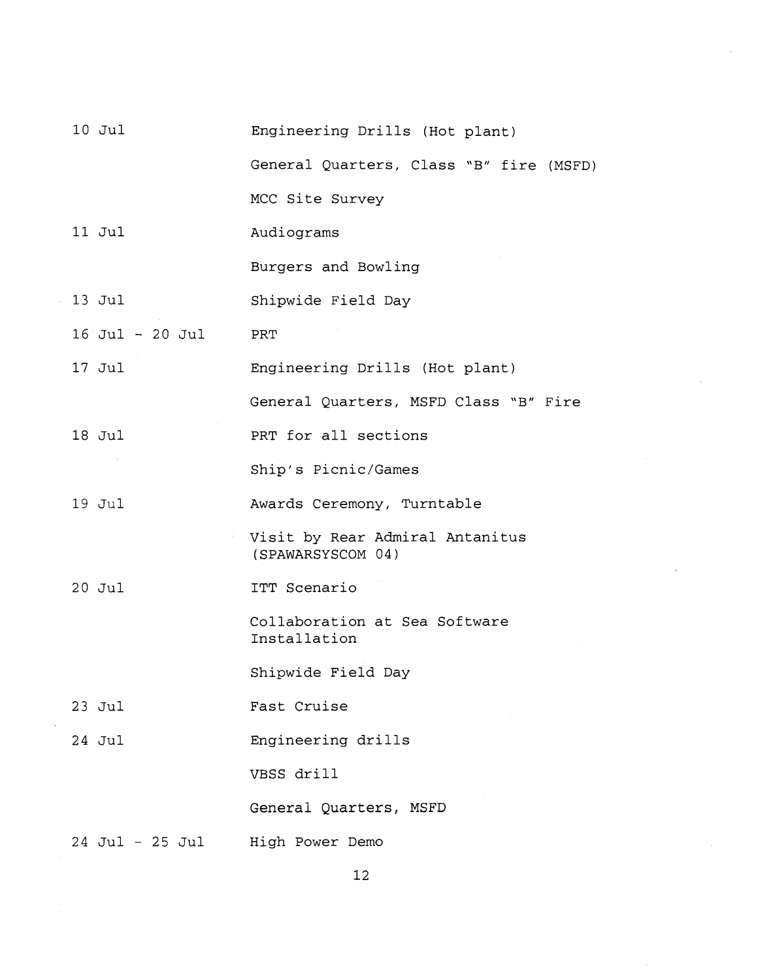| 10 Jul          | Engineering Drills (Hot plant)                       |
|-----------------|------------------------------------------------------|
|                 | General Quarters, Class "B" fire (MSFD)              |
|                 | MCC Site Survey                                      |
| $11$ Jul        | Audiograms                                           |
|                 | Burgers and Bowling                                  |
| 13 Jul          | Shipwide Field Day                                   |
| 16 Jul - 20 Jul | PRT                                                  |
| 17 Jul          | Engineering Drills (Hot plant)                       |
|                 | General Quarters, MSFD Class "B" Fire                |
| 18 Jul          | PRT for all sections                                 |
|                 | Ship's Picnic/Games                                  |
| $19$ Jul        | Awards Ceremony, Turntable                           |
|                 | Visit by Rear Admiral Antanitus<br>(SPAWARSYSCOM 04) |
| $20$ Jul        | ITT Scenario                                         |
|                 | Collaboration at Sea Software<br>Installation        |
|                 | Shipwide Field Day                                   |
| $23$ Jul        | Fast Cruise                                          |
| 24 Jul          | Engineering drills                                   |
|                 | VBSS drill                                           |
|                 | General Quarters, MSFD                               |
| 24 Jul – 25 Jul | High Power Demo                                      |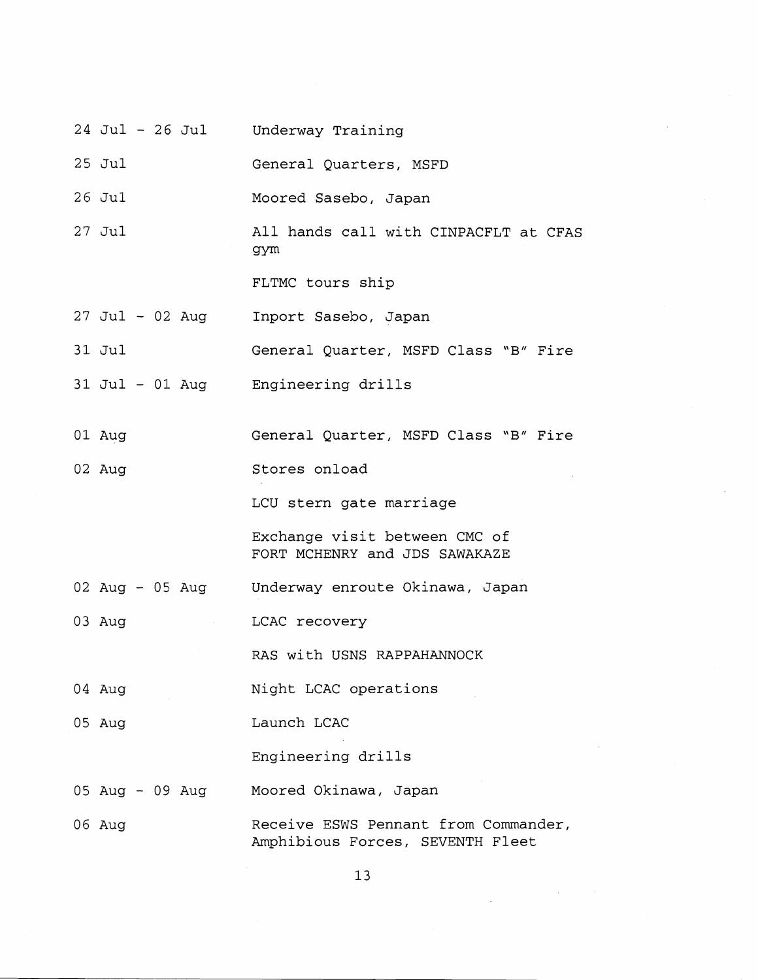- 24 Jul 26 Jul Underway Training
- 25 Jul General Quarters, MSFD
- 26 Jul Moored Sasebo, Japan
- 27 Jul All hands call with CINPACFLT at CFAS gym

FLTMC tours ship

- $27$  Jul 02 Aug Inport Sasebo, Japan
- 31 Jul General Quarter, MSFD Class "B" Fire
- 31 Jul 01 Aug Engineering drills
- 01 Aug General Quarter, MSFD Class "B" Fire
- 02 Aug Stores onload

LCU stern gate marriage

Exchange visit between CMC of FORT MCHENRY and JDS SAWAKAZE

- 02 Aug 05 Aug Underway enroute Okinawa, Japan
- 03 Aug LCAC recovery

RAS with USNS RAPPAHANNOCK

- 04 Aug Night LCAC operations
- 05 Aug Launch LCAC

Engineering drills

- 05 Aug 09 Aug Moored Okinawa, Japan
- 06 Aug Receive ESWS Pennant from Commander, Amphibious Forces, SEVENTH Fleet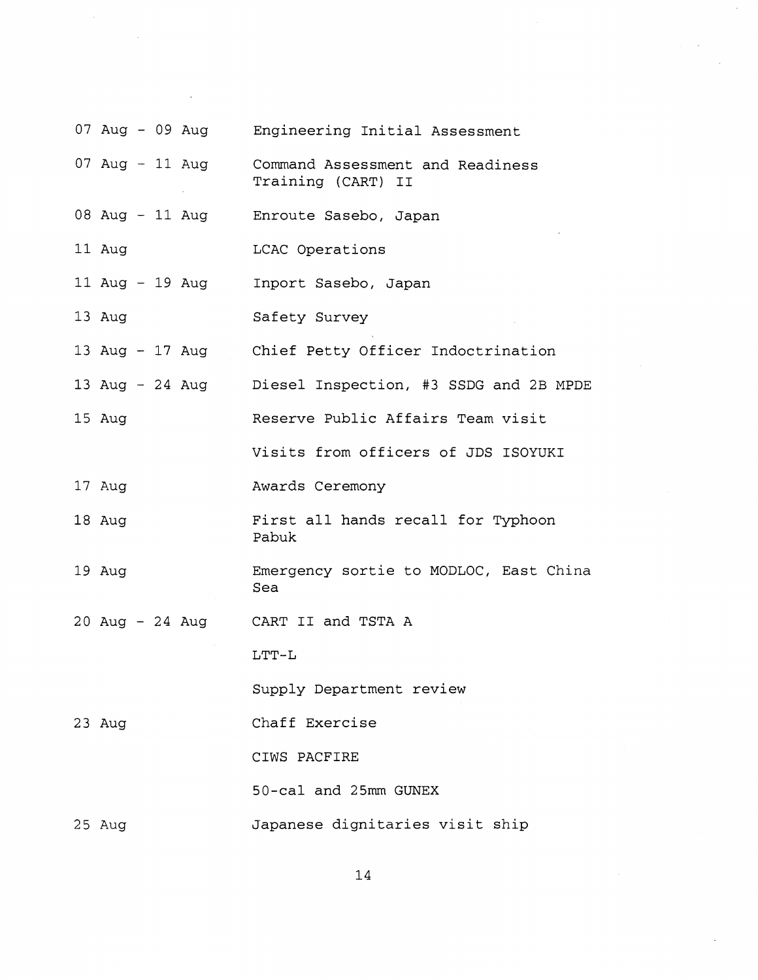|          |  | 07 Aug - 09 Aug Engineering Initial Assessment                         |
|----------|--|------------------------------------------------------------------------|
|          |  | 07 Aug - 11 Aug Command Assessment and Readiness<br>Training (CART) II |
|          |  | 08 Aug - 11 Aug Enroute Sasebo, Japan                                  |
| 11 Aug   |  | LCAC Operations                                                        |
|          |  | 11 Aug - 19 Aug Inport Sasebo, Japan                                   |
| 13 Aug   |  | Safety Survey                                                          |
|          |  | 13 Aug - 17 Aug Chief Petty Officer Indoctrination                     |
|          |  | 13 Aug - 24 Aug Diesel Inspection, #3 SSDG and 2B MPDE                 |
| 15 Aug   |  | Reserve Public Affairs Team visit                                      |
|          |  | Visits from officers of JDS ISOYUKI                                    |
| 17 Aug   |  | Awards Ceremony                                                        |
| 18 Aug   |  | First all hands recall for Typhoon<br>Pabuk                            |
| $19$ Aug |  | Emergency sortie to MODLOC, East China<br>Sea                          |
|          |  | 20 Aug - 24 Aug CART II and TSTA A                                     |
|          |  | $LTT-L$                                                                |
|          |  | Supply Department review                                               |
| 23 Aug   |  | Chaff Exercise                                                         |
|          |  | CIWS PACFIRE                                                           |
|          |  | 50-cal and 25mm GUNEX                                                  |
| 25 Aug   |  | Japanese dignitaries visit ship                                        |

 $\bar{\mathcal{A}}$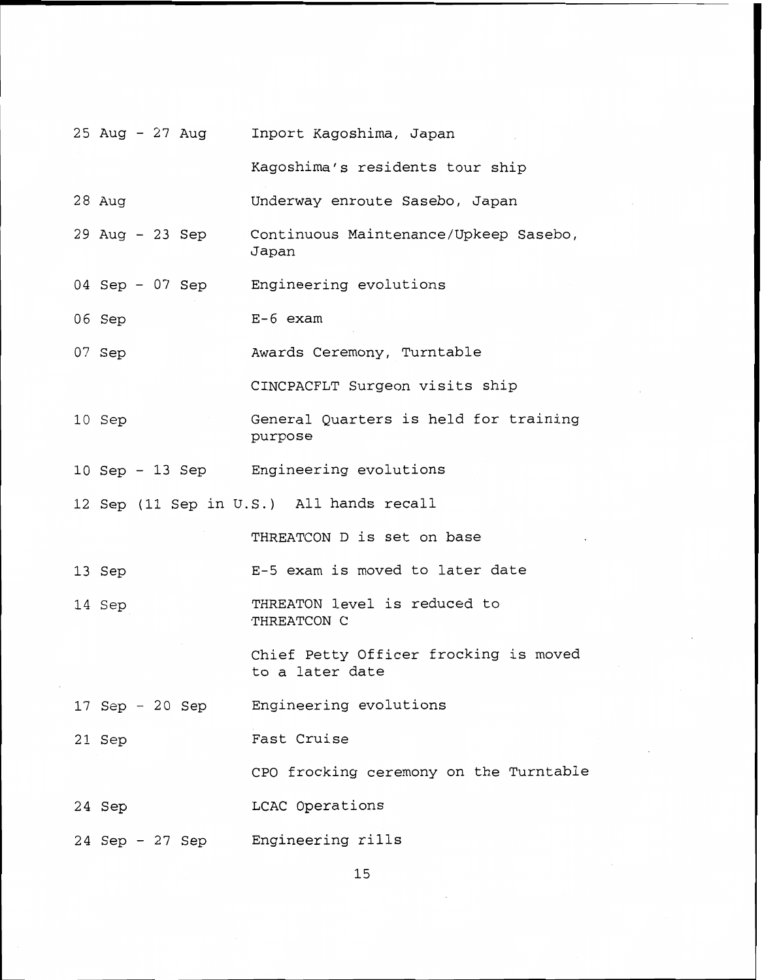|                 | 25 Aug - 27 Aug Inport Kagoshima, Japan                  |
|-----------------|----------------------------------------------------------|
|                 | Kagoshima's residents tour ship                          |
| 28 Aug          | Underway enroute Sasebo, Japan                           |
| 29 Aug - 23 Sep | Continuous Maintenance/Upkeep Sasebo,<br>Japan           |
|                 | 04 Sep - 07 Sep Engineering evolutions                   |
| 06 Sep          | $E-6$ exam                                               |
| 07 Sep          | Awards Ceremony, Turntable                               |
|                 | CINCPACFLT Surgeon visits ship                           |
| 10 Sep          | General Quarters is held for training<br>purpose         |
|                 | 10 Sep - 13 Sep Engineering evolutions                   |
|                 | 12 Sep (11 Sep in U.S.) All hands recall                 |
|                 | THREATCON D is set on base                               |
| 13 Sep          | E-5 exam is moved to later date                          |
| 14 Sep          | THREATON level is reduced to<br>THREATCON C              |
|                 | Chief Petty Officer frocking is moved<br>to a later date |
| 17 Sep - 20 Sep | Engineering evolutions                                   |
| 21 Sep          | Fast Cruise                                              |
|                 | CPO frocking ceremony on the Turntable                   |
| 24 Sep          | LCAC Operations                                          |
| 24 Sep - 27 Sep | Engineering rills                                        |

15

 $\bar{\gamma}$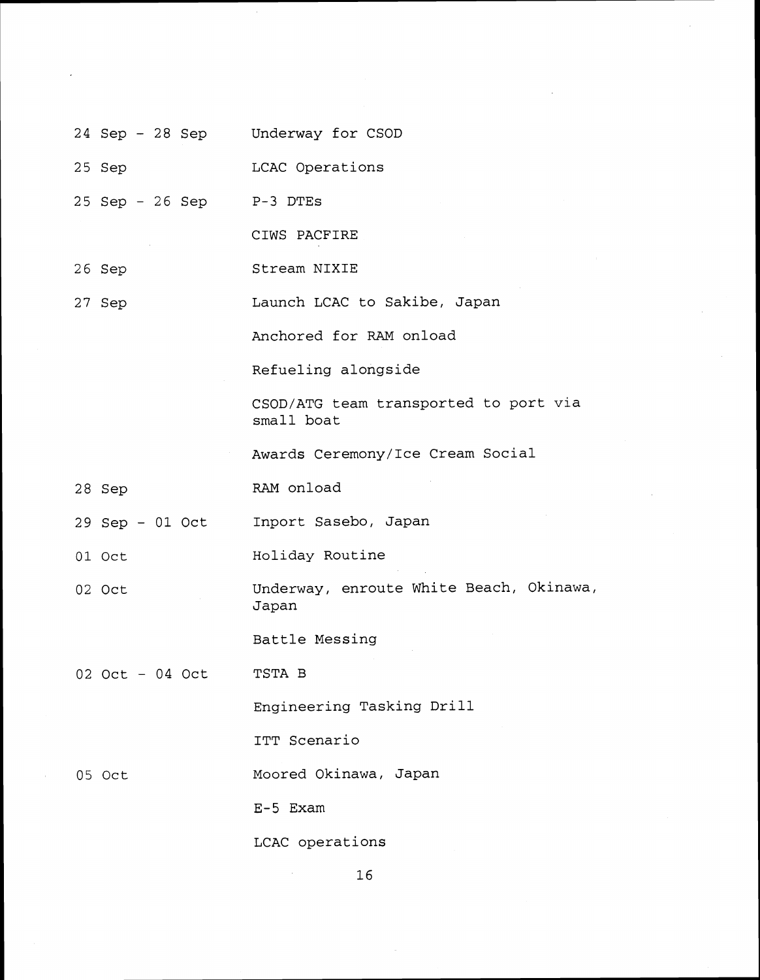Underway for CSOD 24 Sep - 28 Sep 25 Sep LCAC Operations 25 Sep - 26 Sep P-3 DTES CIWS PACFIRE Stream NIXIE 26 Sep Launch LCAC to Sakibe, Japan 27 Sep Anchored for RAM onload Refueling alongside CSOD/ATG team transported to port via small boat Awards Ceremony/Ice Cream Social RAM onload 28 Sep 29 Sep - 01 Oct Inport Sasebo, Japan 01 Oct Holiday Routine Underway, enroute White Beach, Okinawa, 02 Oct Japan Battle Messing TSTA B 02 Oct - 04 Oct Engineering Tasking Drill ITT Scenario Moored Okinawa, Japan 05 Oct E-5 Exam LCAC operations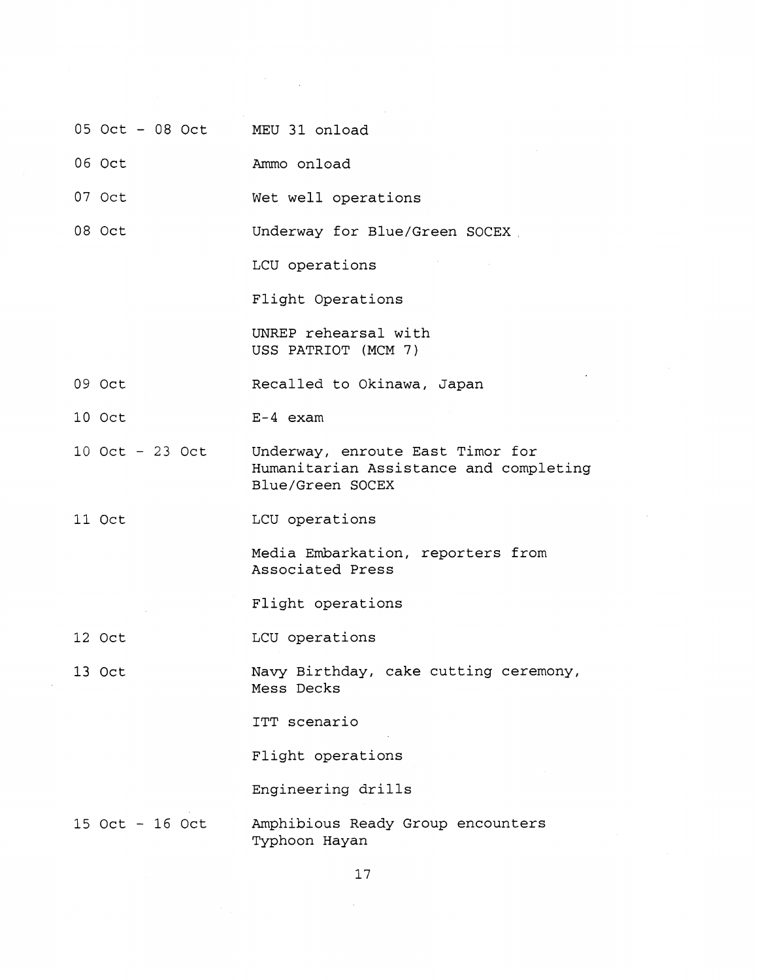- 05 Oct 08 Oct MEU 31 onload
- 06 Oct Ammo onload
- 07 Oct Wet well operations

08 Oct Underway for Blue/Green SOCEX

LCU operations

Flight Operations

UNREP rehearsal with USS PATRIOT (MCM 7)

- 09 Oct Recalled to Okinawa, Japan
- 10 Oct E-4 exam
- 10 Oct 23 Oct Underway, enroute East Timor for Humanitarian Assistance and completing Blue/Green SOCEX
- 11 Oct LCU operations

Media Embarkation, reporters from Associated Press

Flight operations

12 Oct LCU operations

**13** Oct Navy Birthday, cake cutting ceremony, Mess Decks

ITT scenario

Flight operations

Engineering drills

15 Oct - 16 Oct Amphibious Ready Group encounters Typhoon Hayan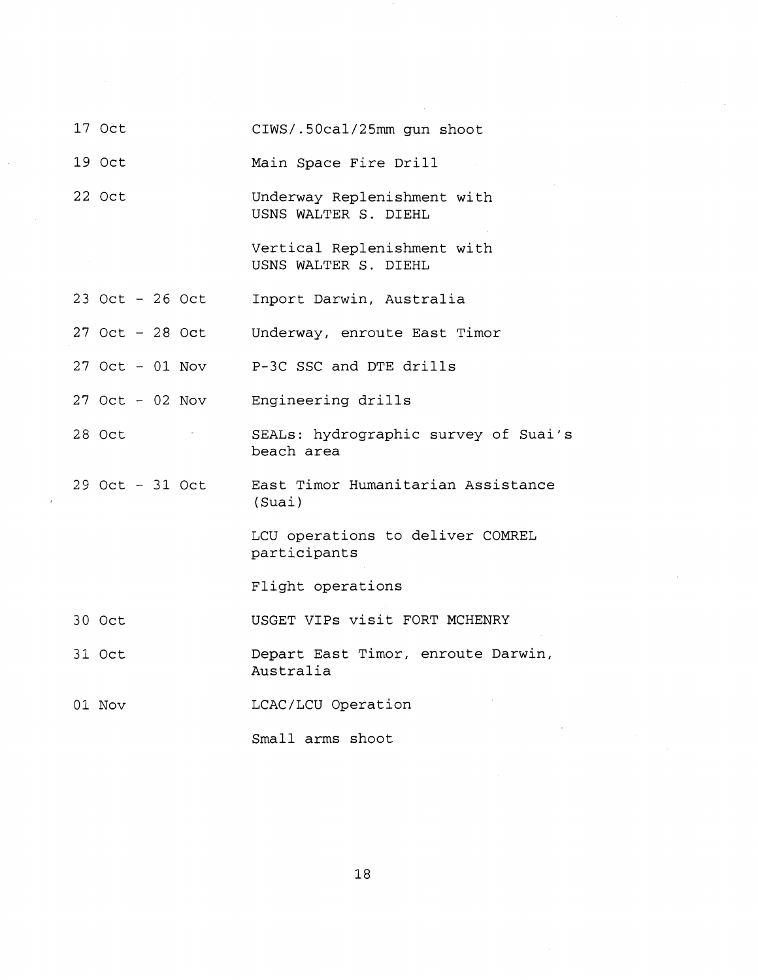| 17 Oct            | CIWS/.50cal/25mm gun shoot                          |
|-------------------|-----------------------------------------------------|
| 19 Oct            | Main Space Fire Drill                               |
| 22 Oct            | Underway Replenishment with<br>USNS WALTER S. DIEHL |
|                   | Vertical Replenishment with<br>USNS WALTER S. DIEHL |
| 23 Oct - 26 Oct   | Inport Darwin, Australia                            |
| $27$ Oct - 28 Oct | Underway, enroute East Timor                        |
| 27 Oct - 01 Nov   | P-3C SSC and DTE drills                             |
| $27$ Oct - 02 Nov | Engineering drills                                  |
| 28 Oct            | SEALs: hydrographic survey of Suai's<br>beach area  |
| 29 Oct - 31 Oct   | East Timor Humanitarian Assistance<br>(Suai)        |
|                   | LCU operations to deliver COMREL<br>participants    |
|                   | Flight operations                                   |
| 30 Oct            | USGET VIPs visit FORT MCHENRY                       |
| 31 Oct            | Depart East Timor, enroute Darwin,<br>Australia     |
| 01 Nov            | LCAC/LCU Operation                                  |
|                   | Small arms shoot                                    |

l,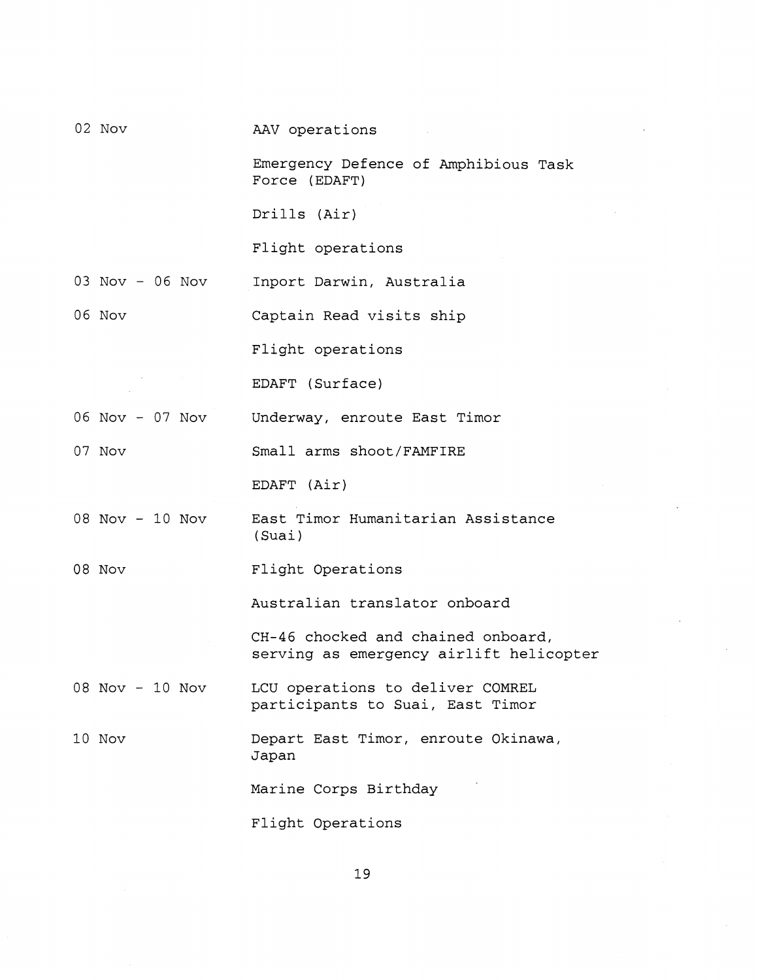| 02 Nov            | AAV operations                                                                |
|-------------------|-------------------------------------------------------------------------------|
|                   | Emergency Defence of Amphibious Task<br>Force (EDAFT)                         |
|                   | Drills (Air)                                                                  |
|                   | Flight operations                                                             |
| 03 Nov - 06 Nov   | Inport Darwin, Australia                                                      |
| 06 Nov            | Captain Read visits ship                                                      |
|                   | Flight operations                                                             |
|                   | EDAFT (Surface)                                                               |
|                   | 06 Nov - 07 Nov Underway, enroute East Timor                                  |
| 07 Nov            | Small arms shoot/FAMFIRE                                                      |
|                   | EDAFT (Air)                                                                   |
| $08$ Nov - 10 Nov | East Timor Humanitarian Assistance<br>(Suai)                                  |
| 08 Nov            | Flight Operations                                                             |
|                   | Australian translator onboard                                                 |
|                   | CH-46 chocked and chained onboard,<br>serving as emergency airlift helicopter |
| 08 Nov - 10 Nov   | LCU operations to deliver COMREL<br>participants to Suai, East Timor          |
| 10 Nov            | Depart East Timor, enroute Okinawa,<br>Japan                                  |
|                   | Marine Corps Birthday                                                         |
|                   | Flight Operations                                                             |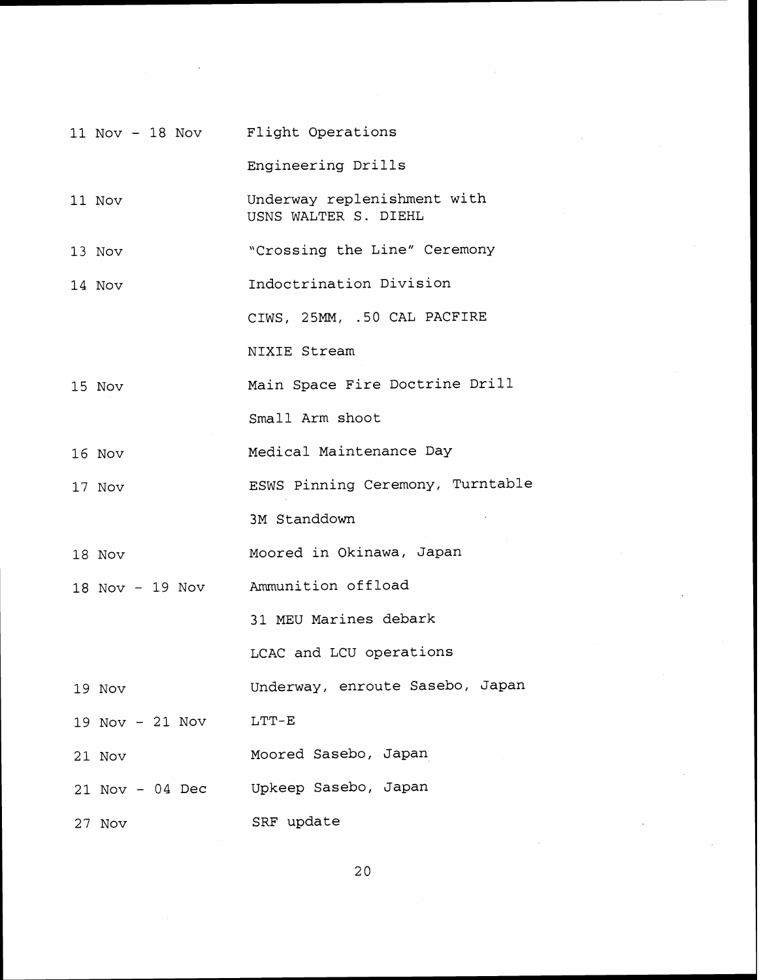|                   | 11 Nov - 18 Nov Flight Operations                   |
|-------------------|-----------------------------------------------------|
|                   | Engineering Drills                                  |
| 11 Nov            | Underway replenishment with<br>USNS WALTER S. DIEHL |
| 13 Nov            | "Crossing the Line" Ceremony                        |
| 14 Nov            | Indoctrination Division                             |
|                   | CIWS, 25MM, .50 CAL PACFIRE                         |
|                   | NIXIE Stream                                        |
| 15 Nov            | Main Space Fire Doctrine Drill                      |
|                   | Small Arm shoot                                     |
| 16 Nov            | Medical Maintenance Day                             |
| 17 Nov            | ESWS Pinning Ceremony, Turntable                    |
|                   | 3M Standdown                                        |
| 18 Nov            | Moored in Okinawa, Japan                            |
| 18 Nov - 19 Nov   | Ammunition offload                                  |
|                   | 31 MEU Marines debark                               |
|                   | LCAC and LCU operations                             |
| 19 Nov            | Underway, enroute Sasebo, Japan                     |
| 19 Nov - 21 Nov   | $LTT-E$                                             |
| 21 Nov            | Moored Sasebo, Japan                                |
| $21$ Nov - 04 Dec | Upkeep Sasebo, Japan                                |
| 27 Nov            | SRF update                                          |